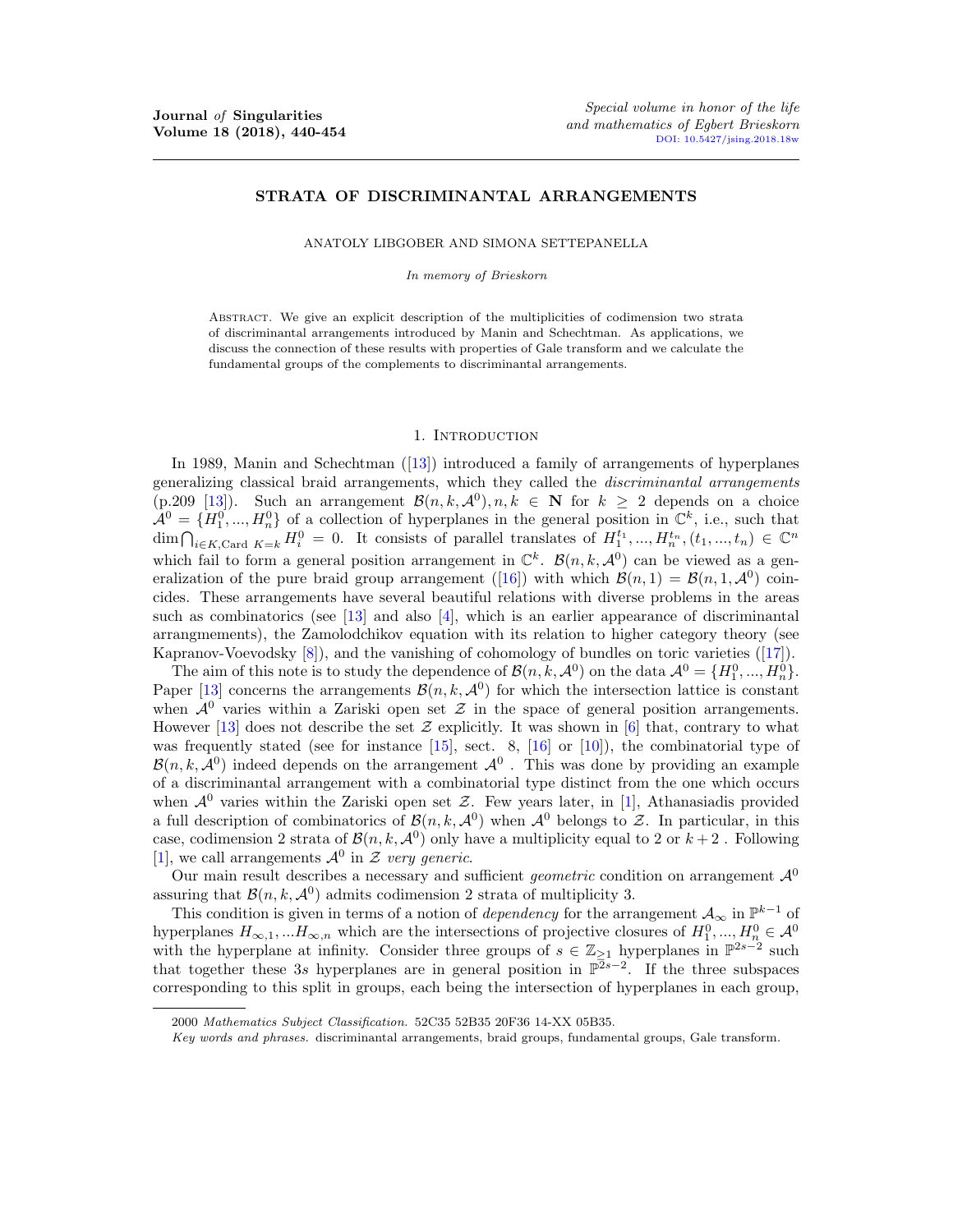# STRATA OF DISCRIMINANTAL ARRANGEMENTS

ANATOLY LIBGOBER AND SIMONA SETTEPANELLA

*In memory of Brieskorn*

Abstract. We give an explicit description of the multiplicities of codimension two strata of discriminantal arrangements introduced by Manin and Schechtman. As applications, we discuss the connection of these results with properties of Gale transform and we calculate the fundamental groups of the complements to discriminantal arrangements.

### 1. INTRODUCTION

In 1989, Manin and Schechtman ([13]) introduced a family of arrangements of hyperplanes generalizing classical braid arrangements, which they called the *discriminantal arrangements* (p.209 [13]). Such an arrangement  $\mathcal{B}(n, k, \mathcal{A}^0), n, k \in \mathbb{N}$  for  $k \geq 2$  depends on a choice  $\mathcal{A}^0 = \{H_1^0, ..., H_n^0\}$  of a collection of hyperplanes in the general position in  $\mathbb{C}^k$ , i.e., such that  $\dim \bigcap_{i \in K, \text{Card } K = k} H_i^0 = 0$ . It consists of parallel translates of  $H_1^{t_1}, ..., H_n^{t_n}, (t_1, ..., t_n) \in \mathbb{C}^n$ which fail to form a general position arrangement in  $\mathbb{C}^k$ .  $\mathcal{B}(n, k, \mathcal{A}^0)$  can be viewed as a generalization of the pure braid group arrangement ([16]) with which  $\mathcal{B}(n, 1) = \mathcal{B}(n, 1, \mathcal{A}^0)$  coincides. These arrangements have several beautiful relations with diverse problems in the areas such as combinatorics (see [13] and also [4], which is an earlier appearance of discriminantal arrangmements), the Zamolodchikov equation with its relation to higher category theory (see Kapranov-Voevodsky  $[8]$ , and the vanishing of cohomology of bundles on toric varieties  $([17])$ .

The aim of this note is to study the dependence of  $\mathcal{B}(n, k, \mathcal{A}^0)$  on the data  $\mathcal{A}^0 = \{H_1^0, ..., H_n^0\}$ . Paper [13] concerns the arrangements  $\mathcal{B}(n, k, \mathcal{A}^0)$  for which the intersection lattice is constant when  $A^0$  varies within a Zariski open set  $\mathcal Z$  in the space of general position arrangements. However [13] does not describe the set  $\mathcal Z$  explicitly. It was shown in [6] that, contrary to what was frequently stated (see for instance [15], sect. 8, [16] or [10]), the combinatorial type of  $B(n, k, \mathcal{A}^0)$  indeed depends on the arrangement  $\mathcal{A}^0$ . This was done by providing an example of a discriminantal arrangement with a combinatorial type distinct from the one which occurs when  $\mathcal{A}^0$  varies within the Zariski open set  $\mathcal{Z}$ . Few years later, in [1], Athanasiadis provided a full description of combinatorics of  $\mathcal{B}(n, k, \mathcal{A}^0)$  when  $\mathcal{A}^0$  belongs to  $\mathcal{Z}$ . In particular, in this case, codimension 2 strata of  $\mathcal{B}(n, k, \mathcal{A}^0)$  only have a multiplicity equal to 2 or  $k+2$ . Following [1], we call arrangements  $\mathcal{A}^0$  in  $\mathcal Z$  *very generic*.

Our main result describes a necessary and sufficient *geometric* condition on arrangement  $\mathcal{A}^0$ assuring that  $\mathcal{B}(n, k, \mathcal{A}^0)$  admits codimension 2 strata of multiplicity 3.

This condition is given in terms of a notion of *dependency* for the arrangement  $A_{\infty}$  in  $\mathbb{P}^{k-1}$  of hyperplanes  $H_{\infty,1},...H_{\infty,n}$  which are the intersections of projective closures of  $H_1^0,...,H_n^0 \in \mathcal{A}^0$ with the hyperplane at infinity. Consider three groups of  $s \in \mathbb{Z}_{\geq 1}$  hyperplanes in  $\mathbb{P}^{2s-2}$  such that together these 3*s* hyperplanes are in general position in  $\overline{\mathbb{P}^{2s-2}}$ . If the three subspaces corresponding to this split in groups, each being the intersection of hyperplanes in each group,

<sup>2000</sup> *Mathematics Subject Classification.* 52C35 52B35 20F36 14-XX 05B35.

*Key words and phrases.* discriminantal arrangements, braid groups, fundamental groups, Gale transform.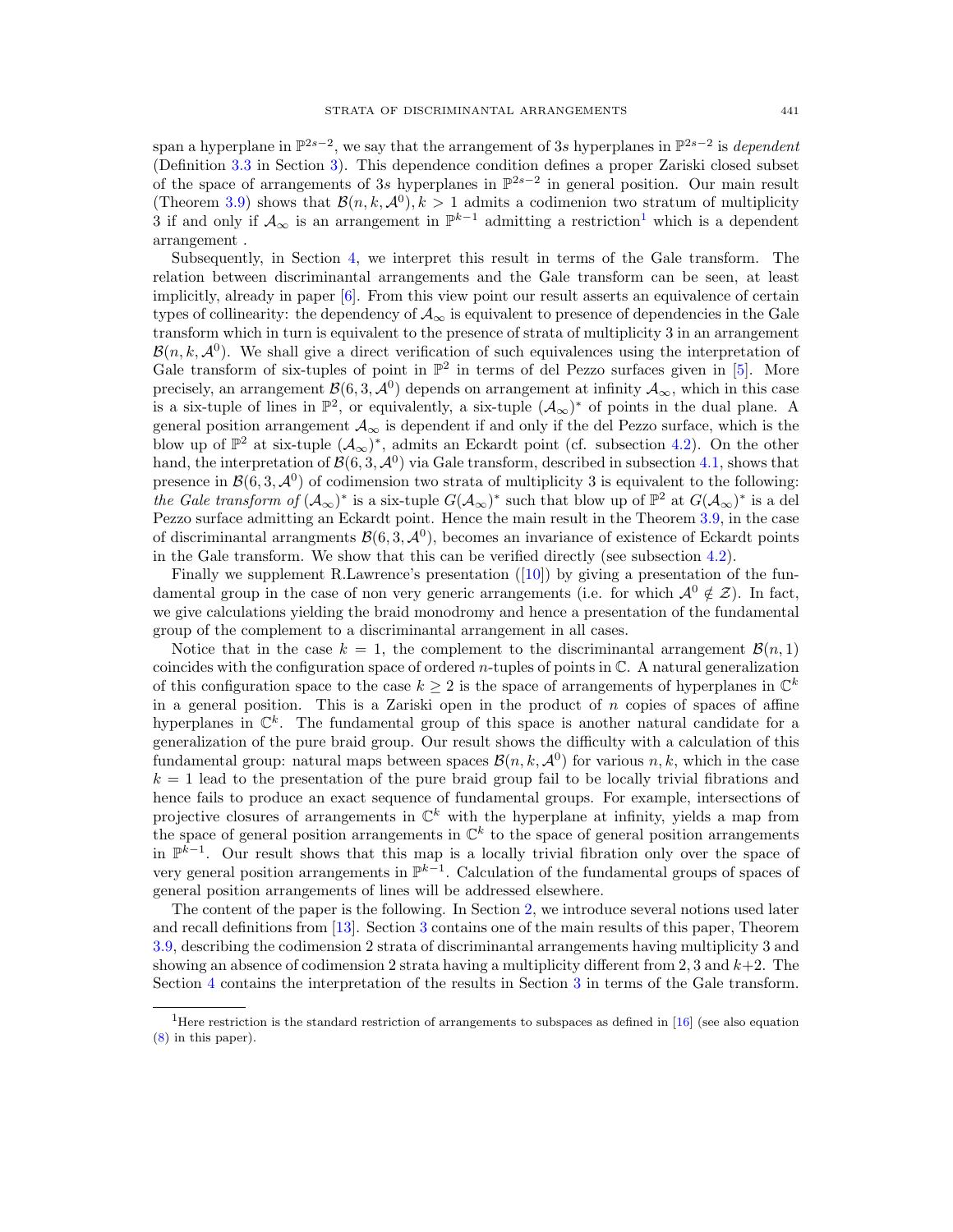span a hyperplane in  $\mathbb{P}^{2s-2}$ , we say that the arrangement of 3*s* hyperplanes in  $\mathbb{P}^{2s-2}$  is *dependent* (Definition 3.3 in Section 3). This dependence condition defines a proper Zariski closed subset of the space of arrangements of 3*s* hyperplanes in  $\mathbb{P}^{2s-2}$  in general position. Our main result (Theorem 3.9) shows that  $\mathcal{B}(n, k, \mathcal{A}^0), k > 1$  admits a codimenion two stratum of multiplicity 3 if and only if  $A_{\infty}$  is an arrangement in  $\mathbb{P}^{k-1}$  admitting a restriction<sup>1</sup> which is a dependent arrangement .

Subsequently, in Section 4, we interpret this result in terms of the Gale transform. The relation between discriminantal arrangements and the Gale transform can be seen, at least implicitly, already in paper [6]. From this view point our result asserts an equivalence of certain types of collinearity: the dependency of  $A_{\infty}$  is equivalent to presence of dependencies in the Gale transform which in turn is equivalent to the presence of strata of multiplicity 3 in an arrangement  $\mathcal{B}(n, k, \mathcal{A}^0)$ . We shall give a direct verification of such equivalences using the interpretation of Gale transform of six-tuples of point in  $\mathbb{P}^2$  in terms of del Pezzo surfaces given in [5]. More precisely, an arrangement  $\mathcal{B}(6,3,\mathcal{A}^0)$  depends on arrangement at infinity  $\mathcal{A}_{\infty}$ , which in this case is a six-tuple of lines in  $\mathbb{P}^2$ , or equivalently, a six-tuple  $(\mathcal{A}_{\infty})^*$  of points in the dual plane. A general position arrangement  $A_{\infty}$  is dependent if and only if the del Pezzo surface, which is the blow up of  $\mathbb{P}^2$  at six-tuple  $(\mathcal{A}_{\infty})^*$ , admits an Eckardt point (cf. subsection 4.2). On the other hand, the interpretation of  $\mathcal{B}(6,3,\mathcal{A}^0)$  via Gale transform, described in subsection 4.1, shows that presence in  $\mathcal{B}(6,3,\mathcal{A}^0)$  of codimension two strata of multiplicity 3 is equivalent to the following: *the Gale transform of*  $(A_{\infty})^*$  is a six-tuple  $G(A_{\infty})^*$  such that blow up of  $\mathbb{P}^2$  at  $G(A_{\infty})^*$  is a del Pezzo surface admitting an Eckardt point. Hence the main result in the Theorem 3.9, in the case of discriminantal arrangments  $\mathcal{B}(6,3,\mathcal{A}^0)$ , becomes an invariance of existence of Eckardt points in the Gale transform. We show that this can be verified directly (see subsection 4.2).

Finally we supplement R.Lawrence's presentation ([10]) by giving a presentation of the fundamental group in the case of non very generic arrangements (i.e. for which  $\mathcal{A}^0 \notin \mathcal{Z}$ ). In fact, we give calculations yielding the braid monodromy and hence a presentation of the fundamental group of the complement to a discriminantal arrangement in all cases.

Notice that in the case  $k = 1$ , the complement to the discriminantal arrangement  $\mathcal{B}(n, 1)$ coincides with the configuration space of ordered *n*-tuples of points in C. A natural generalization of this configuration space to the case  $k \geq 2$  is the space of arrangements of hyperplanes in  $\mathbb{C}^k$ in a general position. This is a Zariski open in the product of  $n$  copies of spaces of affine hyperplanes in  $\mathbb{C}^k$ . The fundamental group of this space is another natural candidate for a generalization of the pure braid group. Our result shows the difficulty with a calculation of this fundamental group: natural maps between spaces  $\mathcal{B}(n, k, \mathcal{A}^0)$  for various  $n, k$ , which in the case  $k = 1$  lead to the presentation of the pure braid group fail to be locally trivial fibrations and hence fails to produce an exact sequence of fundamental groups. For example, intersections of projective closures of arrangements in  $\mathbb{C}^k$  with the hyperplane at infinity, yields a map from the space of general position arrangements in  $\mathbb{C}^k$  to the space of general position arrangements in  $\mathbb{P}^{k-1}$ . Our result shows that this map is a locally trivial fibration only over the space of very general position arrangements in  $\mathbb{P}^{k-1}$ . Calculation of the fundamental groups of spaces of general position arrangements of lines will be addressed elsewhere.

The content of the paper is the following. In Section 2, we introduce several notions used later and recall definitions from [13]. Section 3 contains one of the main results of this paper, Theorem 3.9, describing the codimension 2 strata of discriminantal arrangements having multiplicity 3 and showing an absence of codimension 2 strata having a multiplicity different from 2, 3 and  $k+2$ . The Section 4 contains the interpretation of the results in Section 3 in terms of the Gale transform.

<sup>&</sup>lt;sup>1</sup>Here restriction is the standard restriction of arrangements to subspaces as defined in [16] (see also equation (8) in this paper).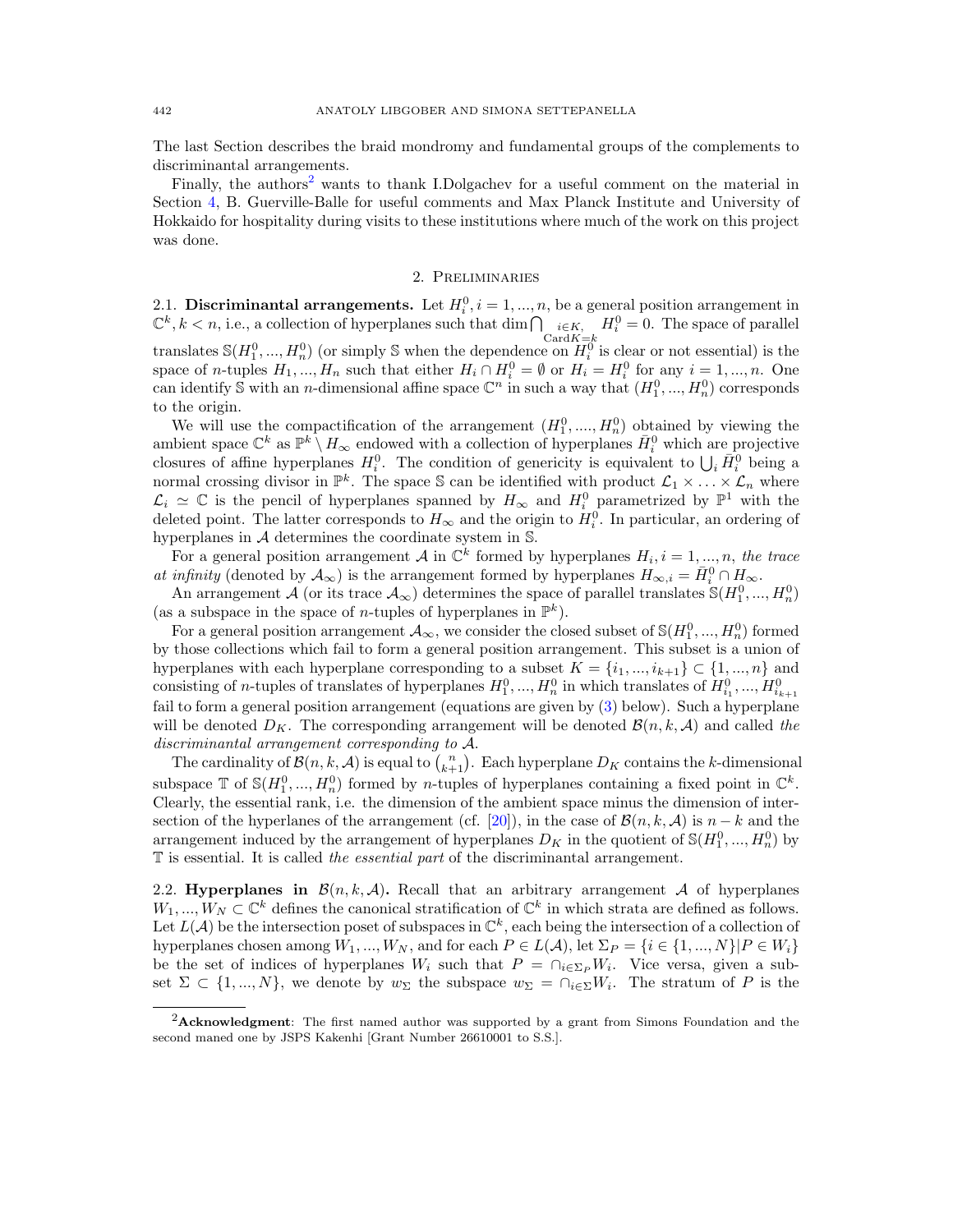The last Section describes the braid mondromy and fundamental groups of the complements to discriminantal arrangements.

Finally, the authors<sup>2</sup> wants to thank I.Dolgachev for a useful comment on the material in Section 4, B. Guerville-Balle for useful comments and Max Planck Institute and University of Hokkaido for hospitality during visits to these institutions where much of the work on this project was done.

#### 2. Preliminaries

2.1. Discriminantal arrangements. Let  $H_i^0$ ,  $i = 1, ..., n$ , be a general position arrangement in  $\mathbb{C}^k, k < n$ , i.e., a collection of hyperplanes such that  $\dim \bigcap_{\substack{i \in K, \\ \text{Card } K = k}} H_i^0 = 0$ . The space of parallel translates  $\mathbb{S}(H_1^0, ..., H_n^0)$  (or simply  $\mathbb S$  when the dependence on  $H_i^0$  is clear or not essential) is the space of *n*-tuples  $H_1, ..., H_n$  such that either  $H_i \cap H_i^0 = \emptyset$  or  $H_i = H_i^0$  for any  $i = 1, ..., n$ . One can identify S with an *n*-dimensional affine space  $\mathbb{C}^n$  in such a way that  $(H_1^0, ..., H_n^0)$  corresponds to the origin.

We will use the compactification of the arrangement  $(H_1^0, ..., H_n^0)$  obtained by viewing the ambient space  $\mathbb{C}^k$  as  $\mathbb{P}^k \setminus H_\infty$  endowed with a collection of hyperplanes  $\bar{H}^0_i$  which are projective closures of affine hyperplanes  $H_i^0$ . The condition of genericity is equivalent to  $\bigcup_i \overline{H}_i^0$  being a normal crossing divisor in  $\mathbb{P}^k$ . The space S can be identified with product  $\mathcal{L}_1 \times \ldots \times \mathcal{L}_n$  where  $\mathcal{L}_i \simeq \mathbb{C}$  is the pencil of hyperplanes spanned by  $H_{\infty}$  and  $H_i^0$  parametrized by  $\mathbb{P}^1$  with the deleted point. The latter corresponds to  $H_{\infty}$  and the origin to  $H_i^0$ . In particular, an ordering of hyperplanes in *A* determines the coordinate system in S.

For a general position arrangement *A* in  $\mathbb{C}^k$  formed by hyperplanes  $H_i, i = 1, ..., n$ , the trace *at infinity* (denoted by  $\mathcal{A}_{\infty}$ ) is the arrangement formed by hyperplanes  $H_{\infty,i} = \bar{H}_{i}^{0} \cap H_{\infty}$ .

An arrangement *A* (or its trace  $A_{\infty}$ ) determines the space of parallel translates  $\mathcal{S}(H_1^0, ..., H_n^0)$ (as a subspace in the space of *n*-tuples of hyperplanes in  $\mathbb{P}^k$ ).

For a general position arrangement  $A_{\infty}$ , we consider the closed subset of  $\mathbb{S}(H_1^0, ..., H_n^0)$  formed by those collections which fail to form a general position arrangement. This subset is a union of hyperplanes with each hyperplane corresponding to a subset  $K = \{i_1, ..., i_{k+1}\} \subset \{1, ..., n\}$  and consisting of *n*-tuples of translates of hyperplanes  $H_1^0, ..., H_n^0$  in which translates of  $H_{i_1}^0, ..., H_{i_{k+1}}^0$ fail to form a general position arrangement (equations are given by (3) below). Such a hyperplane will be denoted  $D_K$ . The corresponding arrangement will be denoted  $\mathcal{B}(n, k, \mathcal{A})$  and called the *discriminantal arrangement corresponding to A*.

The cardinality of  $\mathcal{B}(n, k, \mathcal{A})$  is equal to  $\binom{n}{k+1}$ . Each hyperplane  $D_K$  contains the *k*-dimensional subspace  $\mathbb{T}$  of  $\mathbb{S}(H_1^0, ..., H_n^0)$  formed by *n*-tuples of hyperplanes containing a fixed point in  $\mathbb{C}^k$ . Clearly, the essential rank, i.e. the dimension of the ambient space minus the dimension of intersection of the hyperlanes of the arrangement (cf. [20]), in the case of  $\mathcal{B}(n, k, \mathcal{A})$  is  $n - k$  and the arrangement induced by the arrangement of hyperplanes  $D_K$  in the quotient of  $\mathcal{S}(H_1^0, ..., H_n^0)$  by T is essential. It is called *the essential part* of the discriminantal arrangement.

2.2. Hyperplanes in  $\mathcal{B}(n, k, \mathcal{A})$ . Recall that an arbitrary arrangement  $\mathcal A$  of hyperplanes  $W_1, ..., W_N \subset \mathbb{C}^k$  defines the canonical stratification of  $\mathbb{C}^k$  in which strata are defined as follows. Let  $L(\mathcal{A})$  be the intersection poset of subspaces in  $\mathbb{C}^k$ , each being the intersection of a collection of hyperplanes chosen among  $W_1, ..., W_N$ , and for each  $P \in L(\mathcal{A})$ , let  $\Sigma_P = \{i \in \{1, ..., N\} | P \in W_i\}$ be the set of indices of hyperplanes  $W_i$  such that  $P = \bigcap_{i \in \Sigma_P} W_i$ . Vice versa, given a subset  $\Sigma \subset \{1, ..., N\}$ , we denote by  $w_{\Sigma}$  the subspace  $w_{\Sigma} = \bigcap_{i \in \Sigma} W_i$ . The stratum of *P* is the

 ${}^{2}$ **Acknowledgment**: The first named author was supported by a grant from Simons Foundation and the second maned one by JSPS Kakenhi [Grant Number 26610001 to S.S.].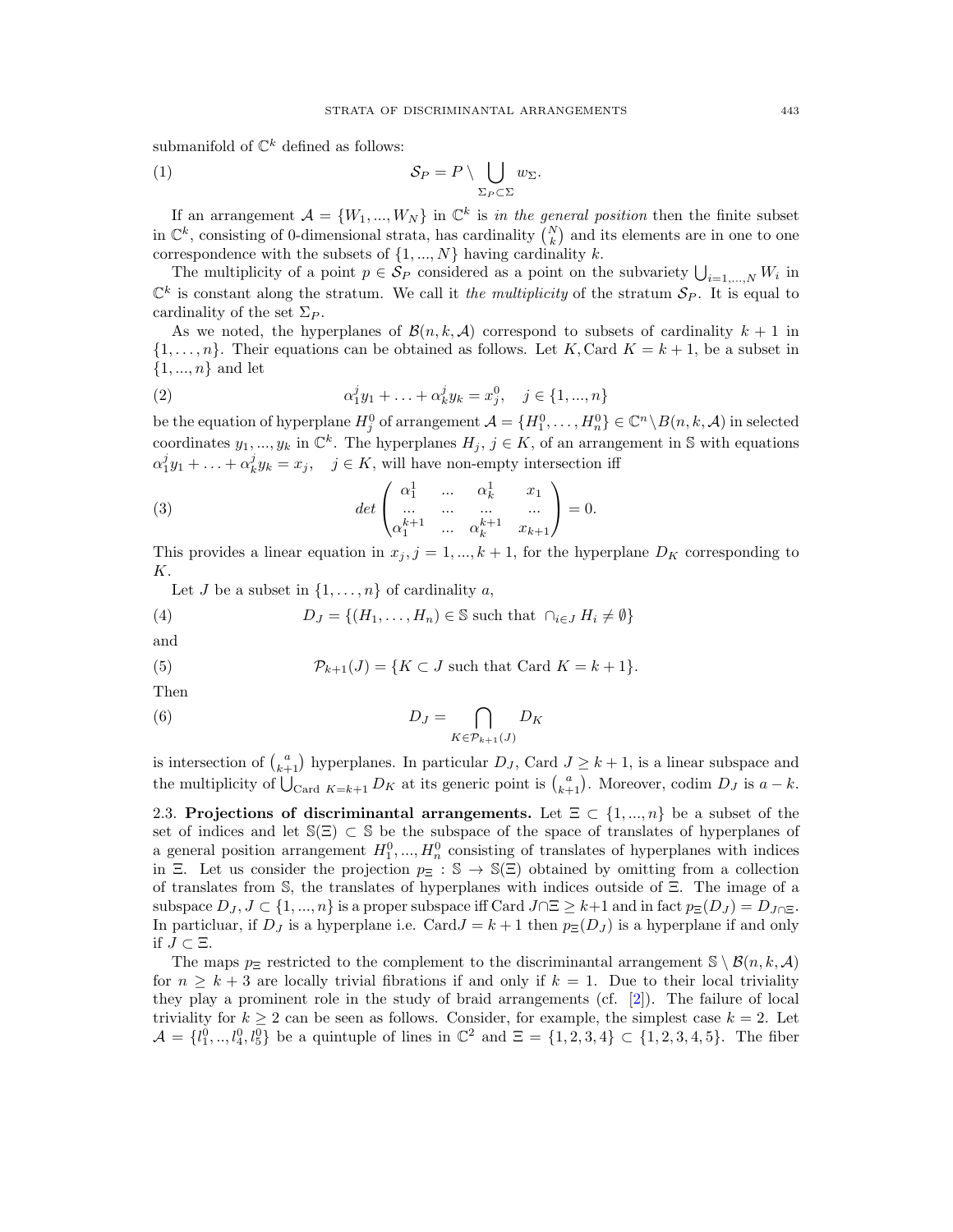submanifold of  $\mathbb{C}^k$  defined as follows:

(1) 
$$
\mathcal{S}_P = P \setminus \bigcup_{\Sigma_P \subset \Sigma} w_{\Sigma}.
$$

If an arrangement  $A = \{W_1, ..., W_N\}$  in  $\mathbb{C}^k$  is *in the general position* then the finite subset in  $\mathbb{C}^k$ , consisting of 0-dimensional strata, has cardinality  $\binom{N}{k}$  and its elements are in one to one for  $k$  *k*  $\alpha$  is the subsets of  $\{1, ..., N\}$  having cardinality *k*.

The multiplicity of a point  $p \in \mathcal{S}_P$  considered as a point on the subvariety  $\bigcup_{i=1,\dots,N} W_i$  in  $\mathbb{C}^k$  is constant along the stratum. We call it *the multiplicity* of the stratum  $\mathcal{S}_P$ . It is equal to cardinality of the set  $\Sigma_P$ .

As we noted, the hyperplanes of  $\mathcal{B}(n, k, \mathcal{A})$  correspond to subsets of cardinality  $k+1$  in  $\{1,\ldots,n\}$ . Their equations can be obtained as follows. Let *K*, Card  $K = k + 1$ , be a subset in *{*1*, ..., n}* and let

(2) 
$$
\alpha_1^j y_1 + \ldots + \alpha_k^j y_k = x_j^0, \quad j \in \{1, ..., n\}
$$

be the equation of hyperplane  $H_j^0$  of arrangement  $\mathcal{A} = \{H_1^0, \ldots, H_n^0\} \in \mathbb{C}^n \setminus B(n,k,\mathcal{A})$  in selected coordinates  $y_1, ..., y_k$  in  $\mathbb{C}^k$ . The hyperplanes  $H_j$ ,  $j \in K$ , of an arrangement in S with equations  $\alpha_1^j y_1 + \ldots + \alpha_k^j y_k = x_j$ ,  $j \in K$ , will have non-empty intersection iff

(3) 
$$
\det \begin{pmatrix} \alpha_1^1 & \dots & \alpha_k^1 & x_1 \\ \dots & \dots & \dots & \dots \\ \alpha_1^{k+1} & \dots & \alpha_k^{k+1} & x_{k+1} \end{pmatrix} = 0.
$$

This provides a linear equation in  $x_j$ ,  $j = 1, ..., k + 1$ , for the hyperplane  $D_K$  corresponding to *K*.

Let *J* be a subset in  $\{1, \ldots, n\}$  of cardinality *a*,

(4) 
$$
D_J = \{(H_1, \ldots, H_n) \in \mathbb{S} \text{ such that } \cap_{i \in J} H_i \neq \emptyset\}
$$

and

(5) 
$$
\mathcal{P}_{k+1}(J) = \{K \subset J \text{ such that } \text{Card } K = k+1\}.
$$

Then

(6) 
$$
D_J = \bigcap_{K \in \mathcal{P}_{k+1}(J)} D_K
$$

is intersection of  $\binom{a}{k+1}$  hyperplanes. In particular  $D_J$ , Card  $J \geq k+1$ , is a linear subspace and the multiplicity of  $\bigcup_{\text{Card } K=k+1} D_K$  at its generic point is  $\binom{a}{k+1}$ . Moreover, codim  $D_J$  is  $a-k$ .

2.3. Projections of discriminantal arrangements. Let  $\Xi \subset \{1, ..., n\}$  be a subset of the set of indices and let  $\mathcal{S}(\Xi) \subset \mathcal{S}$  be the subspace of the space of translates of hyperplanes of a general position arrangement  $H_1^0, ..., H_n^0$  consisting of translates of hyperplanes with indices in  $\Xi$ . Let us consider the projection  $p_{\Xi}: \mathbb{S} \to \mathbb{S}(\Xi)$  obtained by omitting from a collection of translates from  $S$ , the translates of hyperplanes with indices outside of  $E$ . The image of a subspace  $D_J$ ,  $J \subset \{1, ..., n\}$  is a proper subspace iff Card  $J \cap \Xi \geq k+1$  and in fact  $p_{\Xi}(D_J) = D_{J \cap \Xi}$ . In particluar, if  $D_J$  is a hyperplane i.e. Card $J = k + 1$  then  $p_{\Xi}(D_J)$  is a hyperplane if and only if  $J \subset \Xi$ .

The maps  $p_{\Xi}$  restricted to the complement to the discriminantal arrangement  $\mathcal{S} \setminus \mathcal{B}(n, k, \mathcal{A})$ for  $n > k + 3$  are locally trivial fibrations if and only if  $k = 1$ . Due to their local triviality they play a prominent role in the study of braid arrangements (cf. [2]). The failure of local triviality for  $k \geq 2$  can be seen as follows. Consider, for example, the simplest case  $k = 2$ . Let  $\mathcal{A} = \{l_1^0, ..., l_4^0, l_5^0\}$  be a quintuple of lines in  $\mathbb{C}^2$  and  $\Xi = \{1, 2, 3, 4\} \subset \{1, 2, 3, 4, 5\}$ . The fiber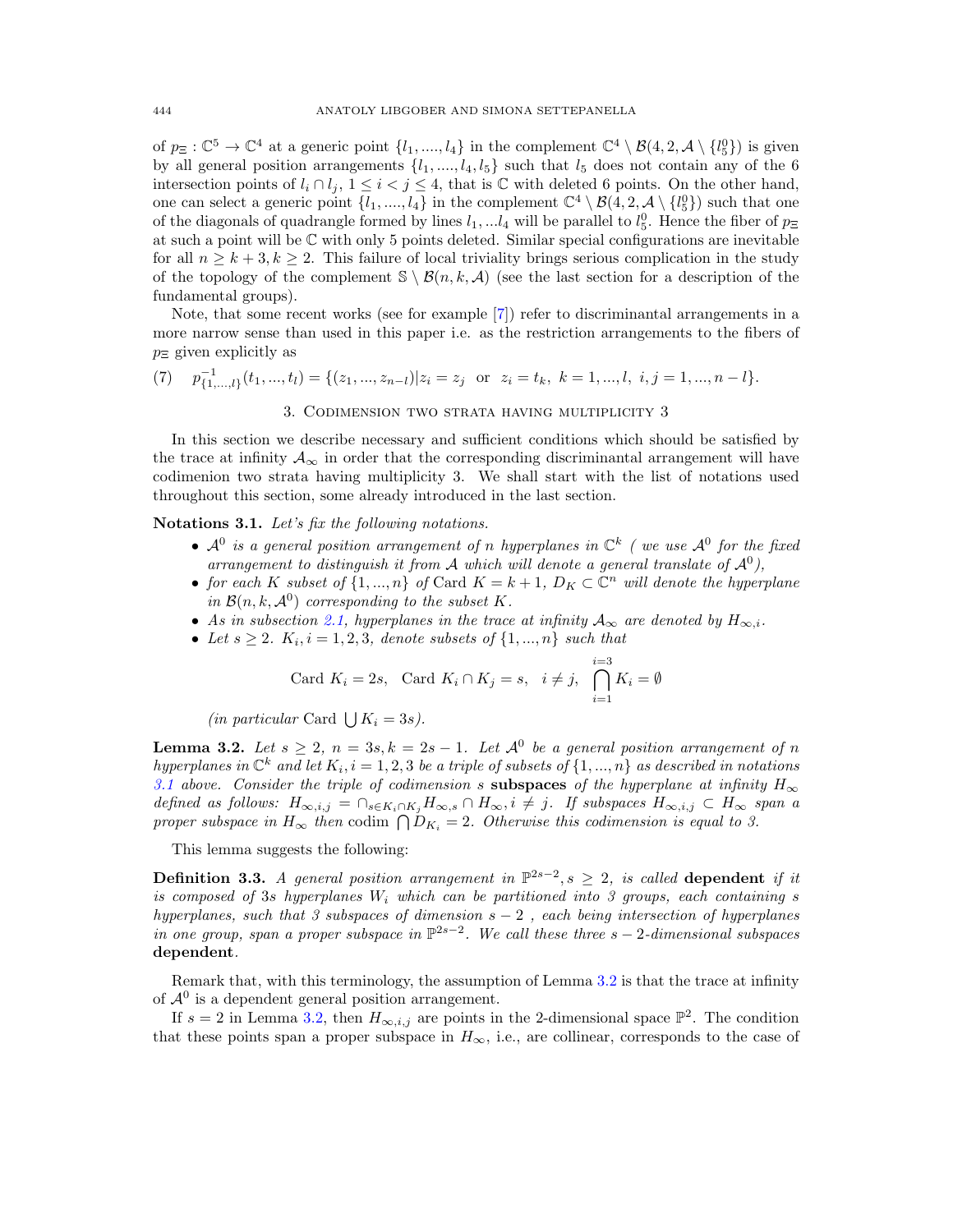of  $p_{\Xi}: \mathbb{C}^5 \to \mathbb{C}^4$  at a generic point  $\{l_1, ..., l_4\}$  in the complement  $\mathbb{C}^4 \setminus \mathcal{B}(4, 2, \mathcal{A} \setminus \{l_5^0\})$  is given by all general position arrangements  $\{l_1, \ldots, l_4, l_5\}$  such that  $l_5$  does not contain any of the 6 intersection points of  $l_i \cap l_j$ ,  $1 \leq i < j \leq 4$ , that is C with deleted 6 points. On the other hand, one can select a generic point  $\{l_1, ..., l_4\}$  in the complement  $\mathbb{C}^4 \setminus \mathcal{B}(4, 2, \mathcal{A} \setminus \{l_5^0\})$  such that one of the diagonals of quadrangle formed by lines  $l_1, \ldots, l_4$  will be parallel to  $l_5^0$ . Hence the fiber of  $p_{\Xi}$ at such a point will be C with only 5 points deleted. Similar special configurations are inevitable for all  $n > k + 3, k > 2$ . This failure of local triviality brings serious complication in the study of the topology of the complement  $\mathcal{S} \setminus \mathcal{B}(n, k, \mathcal{A})$  (see the last section for a description of the fundamental groups).

Note, that some recent works (see for example [7]) refer to discriminantal arrangements in a more narrow sense than used in this paper i.e. as the restriction arrangements to the fibers of  $p_{\Xi}$  given explicitly as

(7) 
$$
p_{\{1,...,l\}}^{-1}(t_1,...,t_l) = \{(z_1,...,z_{n-l}) | z_i = z_j \text{ or } z_i = t_k, k = 1,...,l, i, j = 1,...,n-l \}.
$$
  
3. COMMENSION TWO STRATA HAVING MULTIPLICATION?

In this section we describe necessary and sufficient conditions which should be satisfied by the trace at infinity  $A_{\infty}$  in order that the corresponding discriminantal arrangement will have codimenion two strata having multiplicity 3. We shall start with the list of notations used throughout this section, some already introduced in the last section.

Notations 3.1. *Let's fix the following notations.*

- $A^0$  *is a general position arrangement of <i>n hyperplanes in*  $\mathbb{C}^k$  *(we use*  $A^0$  *for the fixed arrangement to distinguish it from <sup>A</sup> which will denote a general translate of <sup>A</sup>*<sup>0</sup>*),*
- *for each K subset of*  $\{1, ..., n\}$  *of* Card  $K = k + 1$ *,*  $D_K \subset \mathbb{C}^n$  *will denote the hyperplane in*  $\mathcal{B}(n, k, \mathcal{A}^0)$  *corresponding to the subset K.*
- As in subsection 2.1, hyperplanes in the trace at infinity  $A_{\infty}$  are denoted by  $H_{\infty,i}$ .
- Let  $s \geq 2$ .  $K_i$ ,  $i = 1, 2, 3$ , denote subsets of  $\{1, ..., n\}$  such that

Card 
$$
K_i = 2s
$$
, Card  $K_i \cap K_j = s$ ,  $i \neq j$ ,  $\bigcap_{i=1}^{i=3} K_i = \emptyset$ 

*(in particular* Card  $\bigcup K_i = 3s$ *).* 

**Lemma 3.2.** Let  $s \geq 2$ ,  $n = 3s, k = 2s - 1$ . Let  $\mathcal{A}^0$  be a general position arrangement of n *hyperplanes in*  $\mathbb{C}^k$  *and let*  $K_i$ ,  $i = 1, 2, 3$  *be a triple of subsets of*  $\{1, ..., n\}$  *as described in notations* 3.1 above. Consider the triple of codimension *s* subspaces of the hyperplane at infinity  $H_{\infty}$ *defined as follows:*  $H_{\infty,i,j} = \bigcap_{s \in K_i \cap K_j} H_{\infty,s} \cap H_{\infty,i} \neq j$ . If subspaces  $H_{\infty,i,j} \subset H_{\infty}$  span a *proper subspace in*  $H_{\infty}$  *then* codim  $\bigcap D_{K_i} = 2$ *. Otherwise this codimension is equal to 3.* 

This lemma suggests the following:

**Definition 3.3.** A general position arrangement in  $\mathbb{P}^{2s-2}$ ,  $s \geq 2$ , is called dependent if it *is composed of* 3*s hyperplanes*  $W_i$  *which can be partitioned into* 3 groups, each containing  $s$ *hyperplanes, such that 3 subspaces of dimension s* 2 *, each being intersection of hyperplanes in one group, span a proper subspace in*  $\mathbb{P}^{2s-2}$ . We call these three  $s-2$ -dimensional subspaces dependent*.*

Remark that, with this terminology, the assumption of Lemma 3.2 is that the trace at infinity of  $A^0$  is a dependent general position arrangement.

If  $s = 2$  in Lemma 3.2, then  $H_{\infty,i,j}$  are points in the 2-dimensional space  $\mathbb{P}^2$ . The condition that these points span a proper subspace in  $H_{\infty}$ , i.e., are collinear, corresponds to the case of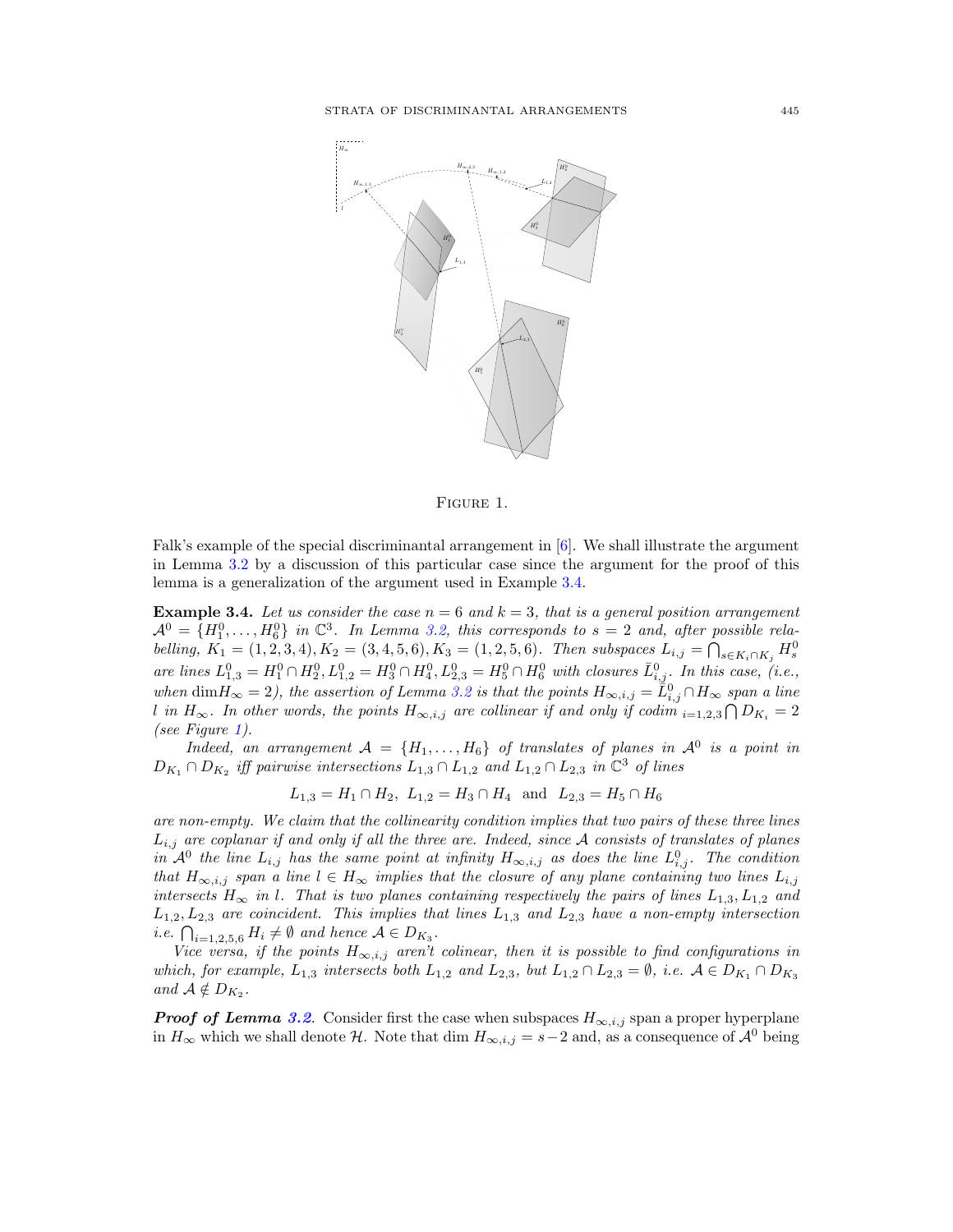

Figure 1.

Falk's example of the special discriminantal arrangement in [6]. We shall illustrate the argument in Lemma 3.2 by a discussion of this particular case since the argument for the proof of this lemma is a generalization of the argument used in Example 3.4.

**Example 3.4.** Let us consider the case  $n = 6$  and  $k = 3$ , that is a general position arrangement  $\mathcal{A}^0 = \{H_1^0, \ldots, H_6^0\}$  in  $\mathbb{C}^3$ . In Lemma 3.2, this corresponds to  $s = 2$  and, after possible relabelling,  $K_1 = (1, 2, 3, 4), K_2 = (3, 4, 5, 6), K_3 = (1, 2, 5, 6).$  Then subspaces  $L_{i,j} = \bigcap_{s \in K_i \cap K_j} H_s^0$ are lines  $L_{1,3}^0 = H_1^0 \cap H_2^0$ ,  $L_{1,2}^0 = H_3^0 \cap H_4^0$ ,  $L_{2,3}^0 = H_5^0 \cap H_6^0$  with closures  $\bar{L}_{i,j}^0$ . In this case, (i.e.,  $when \dim H_{\infty} = 2$ , the assertion of Lemma 3.2 is that the points  $H_{\infty,i,j} = \tilde{L}_{i,j}^0 \cap H_{\infty}$  span a line *l in*  $H_{\infty}$ . In other words, the points  $H_{\infty,i,j}$  are collinear if and only if codim  $i=1,2,3$   $\bigcap D_{K_i}=2$ *(see Figure 1).*

*Indeed, an arrangement*  $A = \{H_1, \ldots, H_6\}$  *of translates of planes in*  $A^0$  *is a point in*  $D_{K_1} \cap D_{K_2}$  *iff pairwise intersections*  $L_{1,3} \cap L_{1,2}$  *and*  $L_{1,2} \cap L_{2,3}$  *in*  $\mathbb{C}^3$  *of lines* 

 $L_{1,3} = H_1 \cap H_2$ ,  $L_{1,2} = H_3 \cap H_4$  and  $L_{2,3} = H_5 \cap H_6$ 

*are non-empty. We claim that the collinearity condition implies that two pairs of these three lines Li,j are coplanar if and only if all the three are. Indeed, since A consists of translates of planes in*  $\mathcal{A}^0$  *the line*  $L_{i,j}$  *has the same point at infinity*  $H_{\infty,i,j}$  *as does the line*  $L^0_{i,j}$ *. The condition that*  $H_{\infty,i,j}$  *span a line*  $l \in H_{\infty}$  *implies that the closure of any plane containing two lines*  $L_{i,j}$ *intersects*  $H_{\infty}$  *in l.* That is two planes containing respectively the pairs of lines  $L_{1,3}$ ,  $L_{1,2}$  and *L*1*,*2*, L*2*,*<sup>3</sup> *are coincident. This implies that lines L*1*,*<sup>3</sup> *and L*2*,*<sup>3</sup> *have a non-empty intersection i.e.*  $\bigcap_{i=1,2,5,6} H_i \neq \emptyset$  and hence  $A \in D_{K_3}$ .

*Vice versa, if the points*  $H_{\infty,i,j}$  *aren't colinear, then it is possible to find configurations in* which, for example,  $L_{1,3}$  intersects both  $L_{1,2}$  and  $L_{2,3}$ , but  $L_{1,2} \cap L_{2,3} = \emptyset$ , i.e.  $A \in D_{K_1} \cap D_{K_3}$ *and*  $A \notin D_{K_2}$ *.* 

*Proof of Lemma 3.2.* Consider first the case when subspaces  $H_{\infty,i,j}$  span a proper hyperplane in  $H_{\infty}$  which we shall denote *H*. Note that dim  $H_{\infty,i,j} = s-2$  and, as a consequence of  $\mathcal{A}^0$  being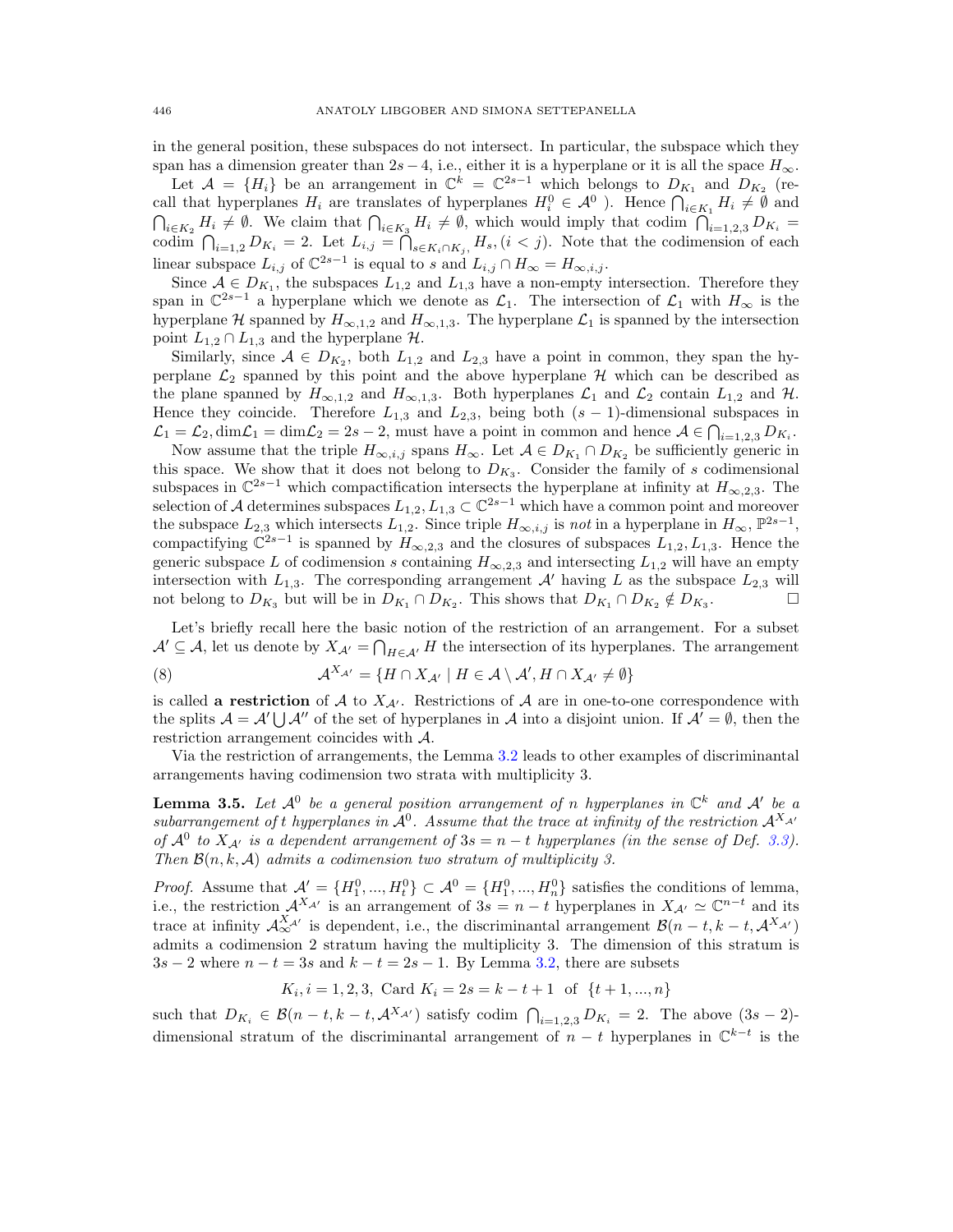in the general position, these subspaces do not intersect. In particular, the subspace which they span has a dimension greater than  $2s - 4$ , i.e., either it is a hyperplane or it is all the space  $H_{\infty}$ .

Let  $A = \{H_i\}$  be an arrangement in  $\mathbb{C}^k = \mathbb{C}^{2s-1}$  which belongs to  $D_{K_1}$  and  $D_{K_2}$  (recall that hyperplanes  $H_i$  are translates of hyperplanes  $H_i^0 \in \mathcal{A}^0$ . Hence  $\bigcap_{i \in K_1} H_i \neq \emptyset$  and  $\bigcap_{i\in K_2} H_i \neq \emptyset$ . We claim that  $\bigcap_{i\in K_3} H_i \neq \emptyset$ , which would imply that codim  $\bigcap_{i=1,2,3} D_{K_i} =$ codim  $\bigcap_{i=1,2} D_{K_i} = 2$ . Let  $L_{i,j} = \bigcap_{s \in K_i \cap K_j} H_s$ ,  $(i < j)$ . Note that the codimension of each linear subspace  $L_{i,j}$  of  $\mathbb{C}^{2s-1}$  is equal to *s* and  $L_{i,j} \cap H_{\infty} = H_{\infty,i,j}$ .

Since  $A \in D_{K_1}$ , the subspaces  $L_{1,2}$  and  $L_{1,3}$  have a non-empty intersection. Therefore they span in  $\mathbb{C}^{2s-1}$  a hyperplane which we denote as  $\mathcal{L}_1$ . The intersection of  $\mathcal{L}_1$  with  $H_{\infty}$  is the hyperplane *H* spanned by  $H_{\infty,1,2}$  and  $H_{\infty,1,3}$ . The hyperplane  $\mathcal{L}_1$  is spanned by the intersection point  $L_{1,2} \cap L_{1,3}$  and the hyperplane  $\mathcal{H}$ .

Similarly, since  $A \in D_{K_2}$ , both  $L_{1,2}$  and  $L_{2,3}$  have a point in common, they span the hyperplane  $\mathcal{L}_2$  spanned by this point and the above hyperplane  $\mathcal H$  which can be described as the plane spanned by  $H_{\infty,1,2}$  and  $H_{\infty,1,3}$ . Both hyperplanes  $\mathcal{L}_1$  and  $\mathcal{L}_2$  contain  $L_{1,2}$  and  $\mathcal{H}$ . Hence they coincide. Therefore  $L_{1,3}$  and  $L_{2,3}$ , being both  $(s-1)$ -dimensional subspaces in  $\mathcal{L}_1 = \mathcal{L}_2$ ,  $\dim \mathcal{L}_1 = \dim \mathcal{L}_2 = 2s - 2$ , must have a point in common and hence  $\mathcal{A} \in \bigcap_{i=1,2,3} D_{K_i}$ .

Now assume that the triple  $H_{\infty,i,j}$  spans  $H_{\infty}$ . Let  $A \in D_{K_1} \cap D_{K_2}$  be sufficiently generic in this space. We show that it does not belong to  $D_{K_3}$ . Consider the family of *s* codimensional subspaces in  $\mathbb{C}^{2s-1}$  which compactification intersects the hyperplane at infinity at  $H_{\infty,2,3}$ . The selection of *A* determines subspaces  $L_{1,2}, L_{1,3} \subset \mathbb{C}^{2s-1}$  which have a common point and moreover the subspace  $L_{2,3}$  which intersects  $L_{1,2}$ . Since triple  $H_{\infty,i,j}$  is *not* in a hyperplane in  $H_{\infty}$ ,  $\mathbb{P}^{2s-1}$ , compactifying  $\mathbb{C}^{2s-1}$  is spanned by  $H_{\infty,2,3}$  and the closures of subspaces  $L_{1,2}, L_{1,3}$ . Hence the generic subspace *L* of codimension *s* containing  $H_{\infty,2,3}$  and intersecting  $L_{1,2}$  will have an empty intersection with  $L_{1,3}$ . The corresponding arrangement  $\mathcal{A}'$  having  $L$  as the subspace  $L_{2,3}$  will not belong to  $D_{K_2}$  but will be in  $D_{K_1} \cap D_{K_2}$ . This shows that  $D_{K_1} \cap D_{K_2} \notin D_{K_2}$ . not belong to  $D_{K_3}$  but will be in  $D_{K_1} \cap D_{K_2}$ . This shows that  $D_{K_1} \cap D_{K_2} \notin D_{K_3}$ .

Let's briefly recall here the basic notion of the restriction of an arrangement. For a subset  $A' \subseteq A$ , let us denote by  $X_{A'} = \bigcap_{H \in A'} H$  the intersection of its hyperplanes. The arrangement

(8) 
$$
\mathcal{A}^{X_{\mathcal{A}'}} = \{ H \cap X_{\mathcal{A}'} \mid H \in \mathcal{A} \setminus \mathcal{A}', H \cap X_{\mathcal{A}'} \neq \emptyset \}
$$

is called a **restriction** of *A* to  $X_{A}$ . Restrictions of *A* are in one-to-one correspondence with the splits  $A = A' \cup A''$  of the set of hyperplanes in *A* into a disjoint union. If  $A' = \emptyset$ , then the restriction arrangement coincides with *A*.

Via the restriction of arrangements, the Lemma 3.2 leads to other examples of discriminantal arrangements having codimension two strata with multiplicity 3.

**Lemma 3.5.** Let  $\mathcal{A}^0$  be a general position arrangement of *n* hyperplanes in  $\mathbb{C}^k$  and  $\mathcal{A}^{\prime}$  be a *subarrangement of t hyperplanes in*  $\mathcal{A}^0$ *. Assume that the trace at infinity of the restriction*  $\mathcal{A}^{X_{\mathcal{A}'}}$ *of*  $\mathcal{A}^0$  *to*  $X_{\mathcal{A}'}$  *is a dependent arrangement of*  $3s = n - t$  *hyperplanes (in the sense of Def.* 3.3). *Then B*(*n, k, A*) *admits a codimension two stratum of multiplicity 3.*

*Proof.* Assume that  $\mathcal{A}' = \{H_1^0, ..., H_t^0\} \subset \mathcal{A}^0 = \{H_1^0, ..., H_n^0\}$  satisfies the conditions of lemma, i.e., the restriction  $\mathcal{A}^{X_{\mathcal{A}'}}$  is an arrangement of  $3s = n - t$  hyperplanes in  $X_{\mathcal{A}'} \simeq \mathbb{C}^{n-t}$  and its trace at infinity  $\mathcal{A}_{\infty}^{X_{\mathcal{A}'}}$  is dependent, i.e., the discriminantal arrangement  $\mathcal{B}(n-t, k-t, \mathcal{A}^{X_{\mathcal{A}'}})$ admits a codimension 2 stratum having the multiplicity 3. The dimension of this stratum is  $3s - 2$  where  $n - t = 3s$  and  $k - t = 2s - 1$ . By Lemma 3.2, there are subsets

$$
K_i, i = 1, 2, 3
$$
, Card  $K_i = 2s = k - t + 1$  of  $\{t + 1, ..., n\}$ 

such that  $D_{K_i} \in \mathcal{B}(n-t, k-t, \mathcal{A}^{X_{\mathcal{A}'}})$  satisfy codim  $\bigcap_{i=1,2,3} D_{K_i} = 2$ . The above  $(3s-2)$ dimensional stratum of the discriminantal arrangement of  $n - t$  hyperplanes in  $\mathbb{C}^{k-t}$  is the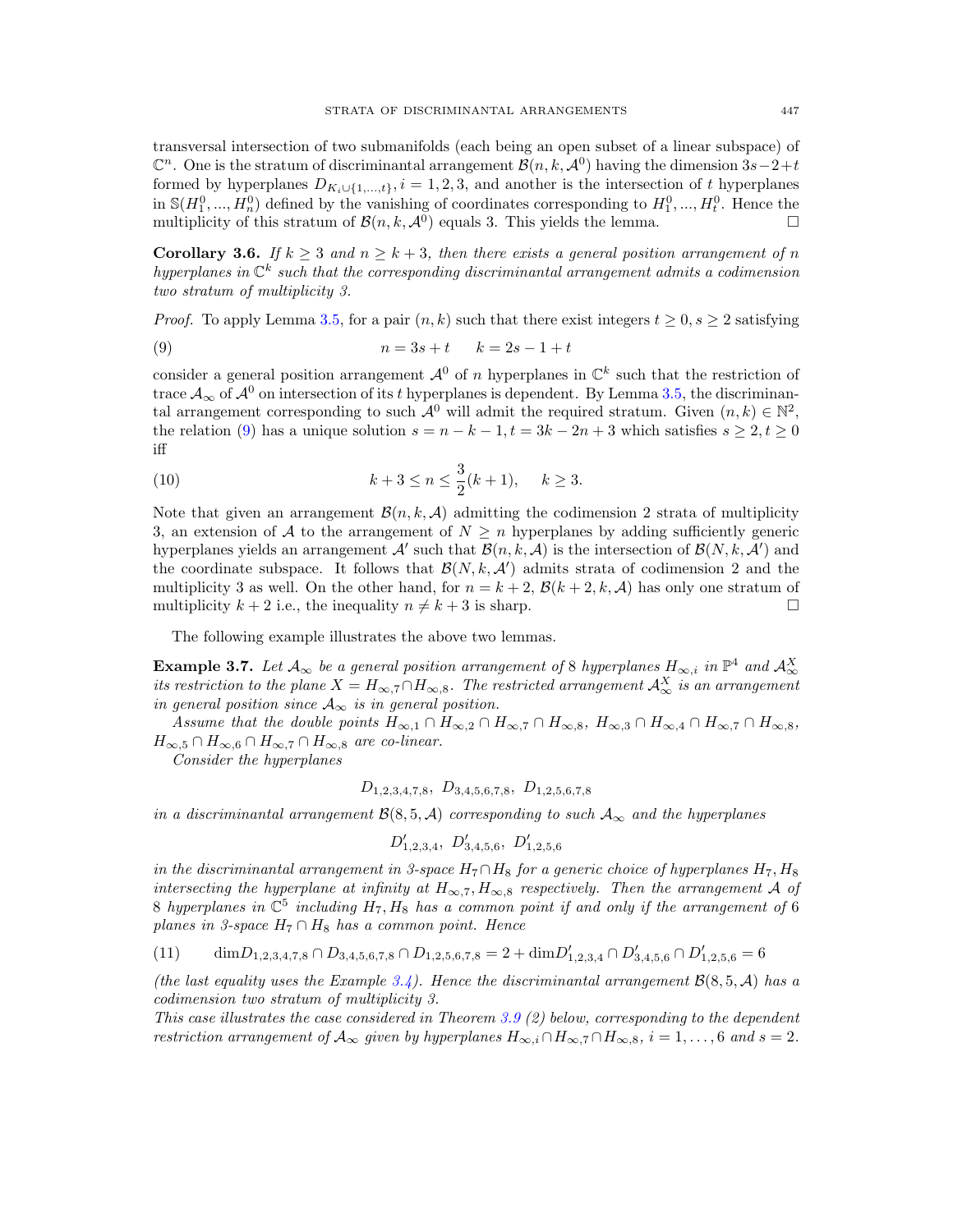transversal intersection of two submanifolds (each being an open subset of a linear subspace) of  $\mathbb{C}^n$ . One is the stratum of discriminantal arrangement  $\mathcal{B}(n, k, \mathcal{A}^0)$  having the dimension  $3s-2+t$ formed by hyperplanes  $D_{K_i \cup \{1,\ldots,t\}}, i = 1,2,3$ , and another is the intersection of *t* hyperplanes in  $\mathbb{S}(H_1^0, ..., H_n^0)$  defined by the vanishing of coordinates corresponding to  $H_1^0, ..., H_t^0$ . Hence the multiplicity of this stratum of  $\mathcal{B}(n, k, \mathcal{A}^0)$  equals 3. This yields the lemma.

**Corollary 3.6.** *If*  $k \geq 3$  *and*  $n \geq k+3$ *, then there exists a general position arrangement of n hyperplanes in* C*<sup>k</sup> such that the corresponding discriminantal arrangement admits a codimension two stratum of multiplicity 3.*

*Proof.* To apply Lemma 3.5, for a pair  $(n, k)$  such that there exist integers  $t \geq 0, s \geq 2$  satisfying

(9) 
$$
n = 3s + t
$$
  $k = 2s - 1 + t$ 

consider a general position arrangement  $\mathcal{A}^0$  of *n* hyperplanes in  $\mathbb{C}^k$  such that the restriction of trace  $\mathcal{A}_{\infty}$  of  $\mathcal{A}^0$  on intersection of its *t* hyperplanes is dependent. By Lemma 3.5, the discriminantal arrangement corresponding to such  $\mathcal{A}^0$  will admit the required stratum. Given  $(n, k) \in \mathbb{N}^2$ , the relation (9) has a unique solution  $s = n - k - 1, t = 3k - 2n + 3$  which satisfies  $s \ge 2, t \ge 0$ iff

(10) 
$$
k+3 \le n \le \frac{3}{2}(k+1), \quad k \ge 3.
$$

Note that given an arrangement  $\mathcal{B}(n, k, \mathcal{A})$  admitting the codimension 2 strata of multiplicity 3, an extension of A to the arrangement of  $N \geq n$  hyperplanes by adding sufficiently generic hyperplanes yields an arrangement  $A'$  such that  $B(n, k, A)$  is the intersection of  $B(N, k, A')$  and the coordinate subspace. It follows that  $\mathcal{B}(N, k, \mathcal{A}')$  admits strata of codimension 2 and the multiplicity 3 as well. On the other hand, for  $n = k + 2$ ,  $\mathcal{B}(k + 2, k, \mathcal{A})$  has only one stratum of multiplicity  $k + 2$  i.e., the inequality  $n \neq k + 3$  is sharp. multiplicity  $k + 2$  i.e., the inequality  $n \neq k + 3$  is sharp.

The following example illustrates the above two lemmas.

**Example 3.7.** Let  $A_{\infty}$  be a general position arrangement of 8 hyperplanes  $H_{\infty,i}$  in  $\mathbb{P}^4$  and  $A_{\infty}^X$ *its restriction to the plane*  $X = H_{\infty,7} \cap H_{\infty,8}$ . The restricted arrangement  $\mathcal{A}^X_{\infty}$  is an arrangement *in general position since*  $A_{\infty}$  *is in general position.* 

*Assume that the double points*  $H_{\infty,1} \cap H_{\infty,2} \cap H_{\infty,7} \cap H_{\infty,8}$ ,  $H_{\infty,3} \cap H_{\infty,4} \cap H_{\infty,7} \cap H_{\infty,8}$ ,  $H_{\infty,5} \cap H_{\infty,6} \cap H_{\infty,7} \cap H_{\infty,8}$  *are co-linear.* 

*Consider the hyperplanes*

$$
D_{1,2,3,4,7,8}
$$
,  $D_{3,4,5,6,7,8}$ ,  $D_{1,2,5,6,7,8}$ 

*in a discriminantal arrangement*  $\mathcal{B}(8,5,\mathcal{A})$  *corresponding to such*  $\mathcal{A}_{\infty}$  *and the hyperplanes* 

$$
D'_{1,2,3,4},\ D'_{3,4,5,6},\ D'_{1,2,5,6}
$$

*in the discriminantal arrangement in 3-space*  $H_7 \cap H_8$  *for a generic choice of hyperplanes*  $H_7$ ,  $H_8$ *intersecting the hyperplane at infinity at*  $H_{\infty,7}$ ,  $H_{\infty,8}$  *respectively. Then the arrangement A of* 8 *hyperplanes in*  $\mathbb{C}^5$  *including*  $H_7$ ,  $H_8$  *has a common point if and only if the arrangement of* 6 *planes in 3-space*  $H_7 \cap H_8$  *has a common point. Hence* 

$$
(11) \qquad \dim D_{1,2,3,4,7,8} \cap D_{3,4,5,6,7,8} \cap D_{1,2,5,6,7,8} = 2 + \dim D'_{1,2,3,4} \cap D'_{3,4,5,6} \cap D'_{1,2,5,6} = 6
$$

*(the last equality uses the Example 3.4). Hence the discriminantal arrangement*  $\mathcal{B}(8,5,\mathcal{A})$  has a *codimension two stratum of multiplicity 3.*

*This case illustrates the case considered in Theorem 3.9 (2) below, corresponding to the dependent restriction arrangement of*  $A_{\infty}$  *given by hyperplanes*  $H_{\infty,i} \cap H_{\infty,7} \cap H_{\infty,8}$ ,  $i = 1,\ldots, 6$  and  $s = 2$ .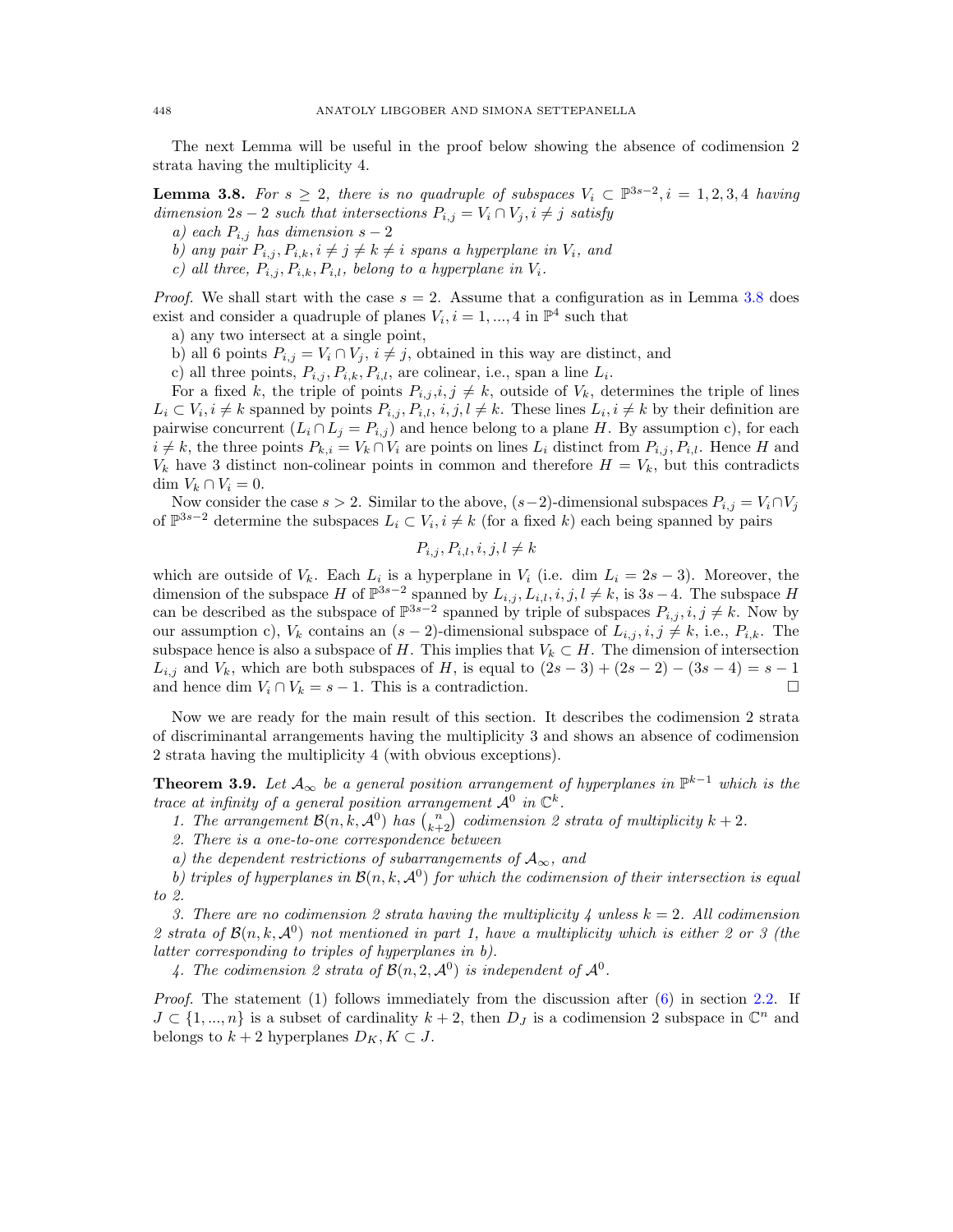The next Lemma will be useful in the proof below showing the absence of codimension 2 strata having the multiplicity 4.

**Lemma 3.8.** For  $s \geq 2$ , there is no quadruple of subspaces  $V_i \subset \mathbb{P}^{3s-2}$ ,  $i = 1, 2, 3, 4$  *having dimension*  $2s - 2$  *such that intersections*  $P_{i,j} = V_i \cap V_j, i \neq j$  *satisfy* 

- *a)* each  $P_{i,j}$  has dimension  $s-2$
- *b)* any pair  $P_{i,j}, P_{i,k}, i \neq j \neq k \neq i$  spans a hyperplane in  $V_i$ , and
- *c)* all three,  $P_{i,j}, P_{i,k}, P_{i,l}$ , belong to a hyperplane in  $V_i$ .

*Proof.* We shall start with the case  $s = 2$ . Assume that a configuration as in Lemma 3.8 does exist and consider a quadruple of planes  $V_i$ ,  $i = 1, ..., 4$  in  $\mathbb{P}^4$  such that

a) any two intersect at a single point,

b) all 6 points  $P_{i,j} = V_i \cap V_j$ ,  $i \neq j$ , obtained in this way are distinct, and

c) all three points,  $P_{i,j}, P_{i,k}, P_{i,l}$ , are colinear, i.e., span a line  $L_i$ .

For a fixed *k*, the triple of points  $P_{i,j}, i, j \neq k$ , outside of  $V_k$ , determines the triple of lines  $L_i \subset V_i, i \neq k$  spanned by points  $P_{i,j}, P_{i,l}, i, j, l \neq k$ . These lines  $L_i, i \neq k$  by their definition are pairwise concurrent  $(L_i \cap L_j = P_{i,j})$  and hence belong to a plane *H*. By assumption c), for each  $i \neq k$ , the three points  $P_{k,i} = V_k \cap V_i$  are points on lines  $L_i$  distinct from  $P_{i,j}, P_{i,l}$ . Hence *H* and  $V_k$  have 3 distinct non-colinear points in common and therefore  $H = V_k$ , but this contradicts dim  $V_k \cap V_i = 0$ .

Now consider the case  $s > 2$ . Similar to the above,  $(s-2)$ -dimensional subspaces  $P_{i,j} = V_i \cap V_j$ of  $\mathbb{P}^{3s-2}$  determine the subspaces  $L_i \subset V_i$ ,  $i \neq k$  (for a fixed *k*) each being spanned by pairs

 $P_{i,j}, P_{i,l}, i, j, l \neq k$ 

which are outside of  $V_k$ . Each  $L_i$  is a hyperplane in  $V_i$  (i.e. dim  $L_i = 2s - 3$ ). Moreover, the dimension of the subspace *H* of  $\mathbb{P}^{3s-2}$  spanned by  $L_{i,j}, L_{i,l}, i, j, l \neq k$ , is  $3s-4$ . The subspace *H* can be described as the subspace of  $\mathbb{P}^{3s-2}$  spanned by triple of subspaces  $P_{i,j}, i, j \neq k$ . Now by our assumption c),  $V_k$  contains an  $(s-2)$ -dimensional subspace of  $L_{i,j}, i, j \neq k$ , i.e.,  $P_{i,k}$ . The subspace hence is also a subspace of *H*. This implies that  $V_k \subset H$ . The dimension of intersection *L*<sub>*i,j*</sub> and *V*<sub>*k*</sub>, which are both subspaces of *H*, is equal to  $(2s-3) + (2s-2) - (3s-4) = s-1$  and hence dim  $V_i \cap V_k = s-1$ . This is a contradiction. and hence dim  $V_i \cap V_k = s - 1$ . This is a contradiction.

Now we are ready for the main result of this section. It describes the codimension 2 strata of discriminantal arrangements having the multiplicity 3 and shows an absence of codimension 2 strata having the multiplicity 4 (with obvious exceptions).

**Theorem 3.9.** Let  $A_{\infty}$  be a general position arrangement of hyperplanes in  $\mathbb{P}^{k-1}$  which is the *trace at infinity of a general position arrangement*  $\mathcal{A}^0$  *in*  $\mathbb{C}^k$ *.* 

*1. The arrangement*  $\mathcal{B}(n, k, \mathcal{A}^0)$  *has*  $\binom{n}{k+2}$  *codimension 2 strata of multiplicity*  $k + 2$ *.* 

*2. There is a one-to-one correspondence between*

*a)* the dependent restrictions of subarrangements of  $A_{\infty}$ , and

*b) triples of hyperplanes in*  $\mathcal{B}(n, k, \mathcal{A}^0)$  *for which the codimension of their intersection is equal to 2.*

*3. There are no codimension 2 strata having the multiplicity 4 unless k* = 2*. All codimension* 2 strata of  $\mathcal{B}(n, k, \mathcal{A}^0)$  not mentioned in part 1, have a multiplicity which is either 2 or 3 (the *latter corresponding to triples of hyperplanes in b).*

4. The codimension 2 strata of  $\mathcal{B}(n, 2, \mathcal{A}^0)$  is independent of  $\mathcal{A}^0$ .

*Proof.* The statement (1) follows immediately from the discussion after (6) in section 2.2. If  $J \subset \{1, ..., n\}$  is a subset of cardinality  $k + 2$ , then  $D_J$  is a codimension 2 subspace in  $\mathbb{C}^n$  and belongs to  $k + 2$  hyperplanes  $D_K, K \subset J$ .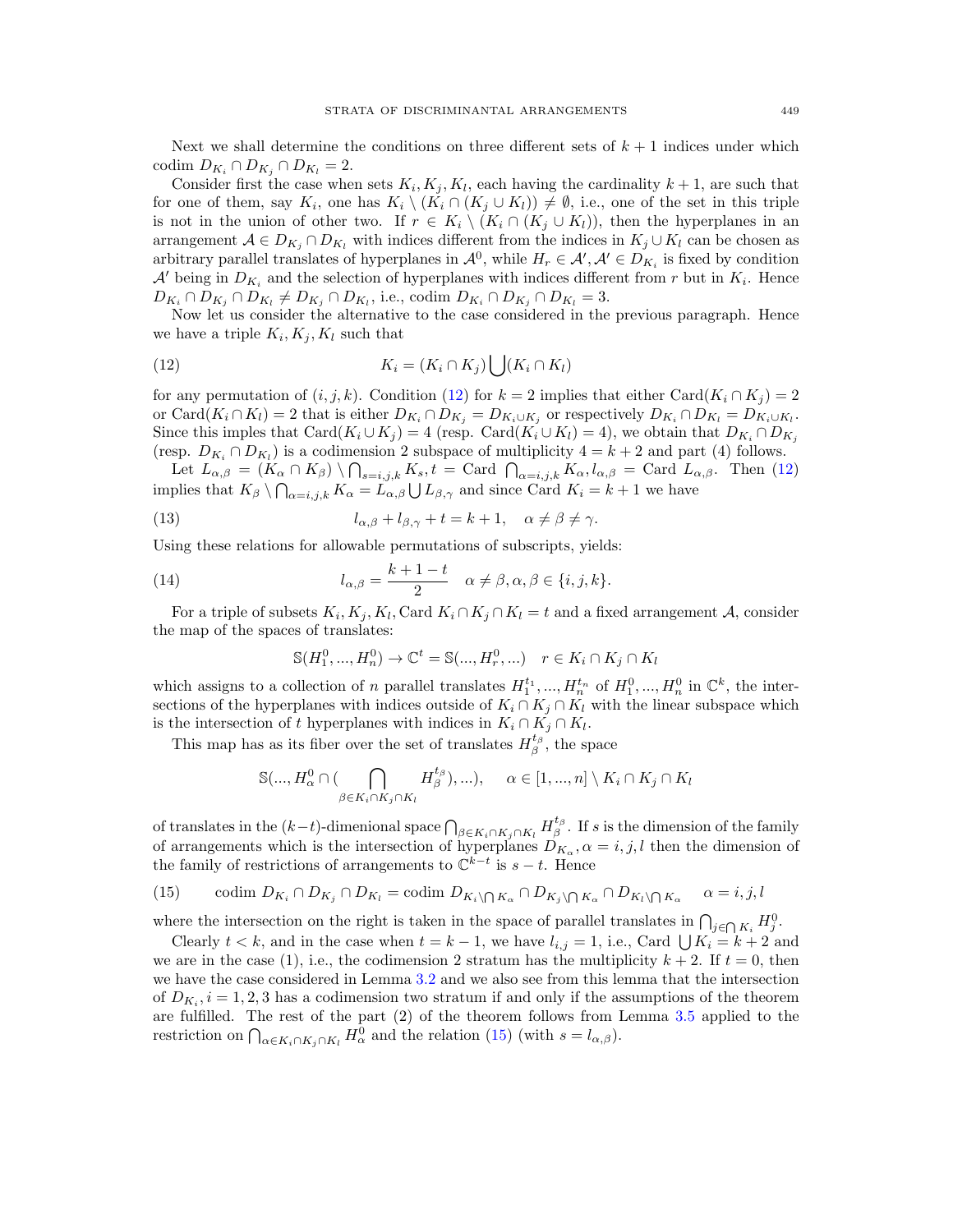Next we shall determine the conditions on three different sets of  $k+1$  indices under which  $\text{codim } D_{K_i} \cap D_{K_i} \cap D_{K_l} = 2.$ 

Consider first the case when sets  $K_i, K_j, K_l$ , each having the cardinality  $k + 1$ , are such that for one of them, say  $K_i$ , one has  $K_i \setminus (K_i \cap (K_j \cup K_l)) \neq \emptyset$ , i.e., one of the set in this triple is not in the union of other two. If  $r \in K_i \setminus (K_i \cap (K_j \cup K_l))$ , then the hyperplanes in an arrangement  $A \in D_{K_i} \cap D_{K_l}$  with indices different from the indices in  $K_j \cup K_l$  can be chosen as arbitrary parallel translates of hyperplanes in  $\mathcal{A}^0$ , while  $H_r \in \mathcal{A}'$ ,  $\mathcal{A}' \in D_{K_i}$  is fixed by condition *A*<sup> $\prime$ </sup> being in  $D_{K_i}$  and the selection of hyperplanes with indices different from *r* but in  $K_i$ . Hence  $D_{K_i} \cap D_{K_j} \cap D_{K_l} \neq D_{K_j} \cap D_{K_l}$ , i.e., codim  $D_{K_i} \cap D_{K_j} \cap D_{K_l} = 3$ .

Now let us consider the alternative to the case considered in the previous paragraph. Hence we have a triple  $K_i, K_j, K_l$  such that

(12) 
$$
K_i = (K_i \cap K_j) \bigcup (K_i \cap K_l)
$$

for any permutation of  $(i, j, k)$ . Condition (12) for  $k = 2$  implies that either Card $(K_i \cap K_j) = 2$ or Card $(K_i \cap K_l) = 2$  that is either  $D_{K_i} \cap D_{K_j} = D_{K_i \cup K_j}$  or respectively  $D_{K_i} \cap D_{K_l} = D_{K_i \cup K_l}$ . Since this imples that  $\text{Card}(K_i \cup K_j) = 4$  (resp.  $\text{Card}(K_i \cup K_l) = 4$ ), we obtain that  $D_{K_i} \cap D_{K_i}$ (resp.  $D_{K_i} \cap D_{K_l}$ ) is a codimension 2 subspace of multiplicity  $4 = k + 2$  and part (4) follows.

Let  $L_{\alpha,\beta} = (K_{\alpha} \cap K_{\beta}) \setminus \bigcap_{s=i,j,k} K_s, t = \text{Card } \bigcap_{\alpha=i,j,k} K_{\alpha}, l_{\alpha,\beta} = \text{Card } L_{\alpha,\beta}.$  Then (12) implies that  $K_{\beta} \setminus \bigcap_{\alpha=i,j,k} K_{\alpha} = L_{\alpha,\beta} \cup L_{\beta,\gamma}$  and since Card  $K_i = k+1$  we have

(13) 
$$
l_{\alpha,\beta} + l_{\beta,\gamma} + t = k + 1, \quad \alpha \neq \beta \neq \gamma.
$$

Using these relations for allowable permutations of subscripts, yields:

(14) 
$$
l_{\alpha,\beta} = \frac{k+1-t}{2} \quad \alpha \neq \beta, \alpha, \beta \in \{i, j, k\}.
$$

For a triple of subsets  $K_i, K_j, K_l, \text{Card } K_i \cap K_j \cap K_l = t$  and a fixed arrangement *A*, consider the map of the spaces of translates:

$$
\mathbb{S}(H_1^0, ..., H_n^0) \to \mathbb{C}^t = \mathbb{S}(..., H_r^0, ...) \quad r \in K_i \cap K_j \cap K_l
$$

which assigns to a collection of *n* parallel translates  $H_1^{t_1}, ..., H_n^{t_n}$  of  $H_1^0, ..., H_n^0$  in  $\mathbb{C}^k$ , the intersections of the hyperplanes with indices outside of  $K_i \cap K_j \cap K_l$  with the linear subspace which is the intersection of *t* hyperplanes with indices in  $K_i \cap K_j \cap K_l$ .

This map has as its fiber over the set of translates  $H_{\beta}^{t_{\beta}}$ , the space

$$
\mathbb{S}(\ldots, H_{\alpha}^{0} \cap (\bigcap_{\beta \in K_{i} \cap K_{j} \cap K_{l}} H_{\beta}^{t_{\beta}}), \ldots), \quad \alpha \in [1, \ldots, n] \setminus K_{i} \cap K_{j} \cap K_{l}
$$

of translates in the  $(k-t)$ -dimenional space  $\bigcap_{\beta \in K_i \cap K_j \cap K_l} H_{\beta}^{t_{\beta}}$ . If *s* is the dimension of the family of arrangements which is the intersection of hyperplanes  $D_{K_{\alpha}}, \alpha = i, j, l$  then the dimension of the family of restrictions of arrangements to  $\mathbb{C}^{k-t}$  is  $s-t$ . Hence

(15) 
$$
\text{codim } D_{K_i} \cap D_{K_j} \cap D_{K_l} = \text{codim } D_{K_i} \cap D_{K_j} \cap D_{K_j} \cap D_{K_l} \cap D_{K_l} \cap D_{K_l}
$$

where the intersection on the right is taken in the space of parallel translates in  $\bigcap_{j\in\bigcap K_i} H_j^0$ .

Clearly  $t < k$ , and in the case when  $t = k - 1$ , we have  $l_{i,j} = 1$ , i.e., Card  $\bigcup K_i = k + 2$  and we are in the case (1), i.e., the codimension 2 stratum has the multiplicity  $k + 2$ . If  $t = 0$ , then we have the case considered in Lemma 3.2 and we also see from this lemma that the intersection of  $D_{K_i}$ ,  $i = 1, 2, 3$  has a codimension two stratum if and only if the assumptions of the theorem are fulfilled. The rest of the part (2) of the theorem follows from Lemma 3.5 applied to the restriction on  $\bigcap_{\alpha \in K_i \cap K_j \cap K_l} H_\alpha^0$  and the relation (15) (with  $s = l_{\alpha,\beta}$ ).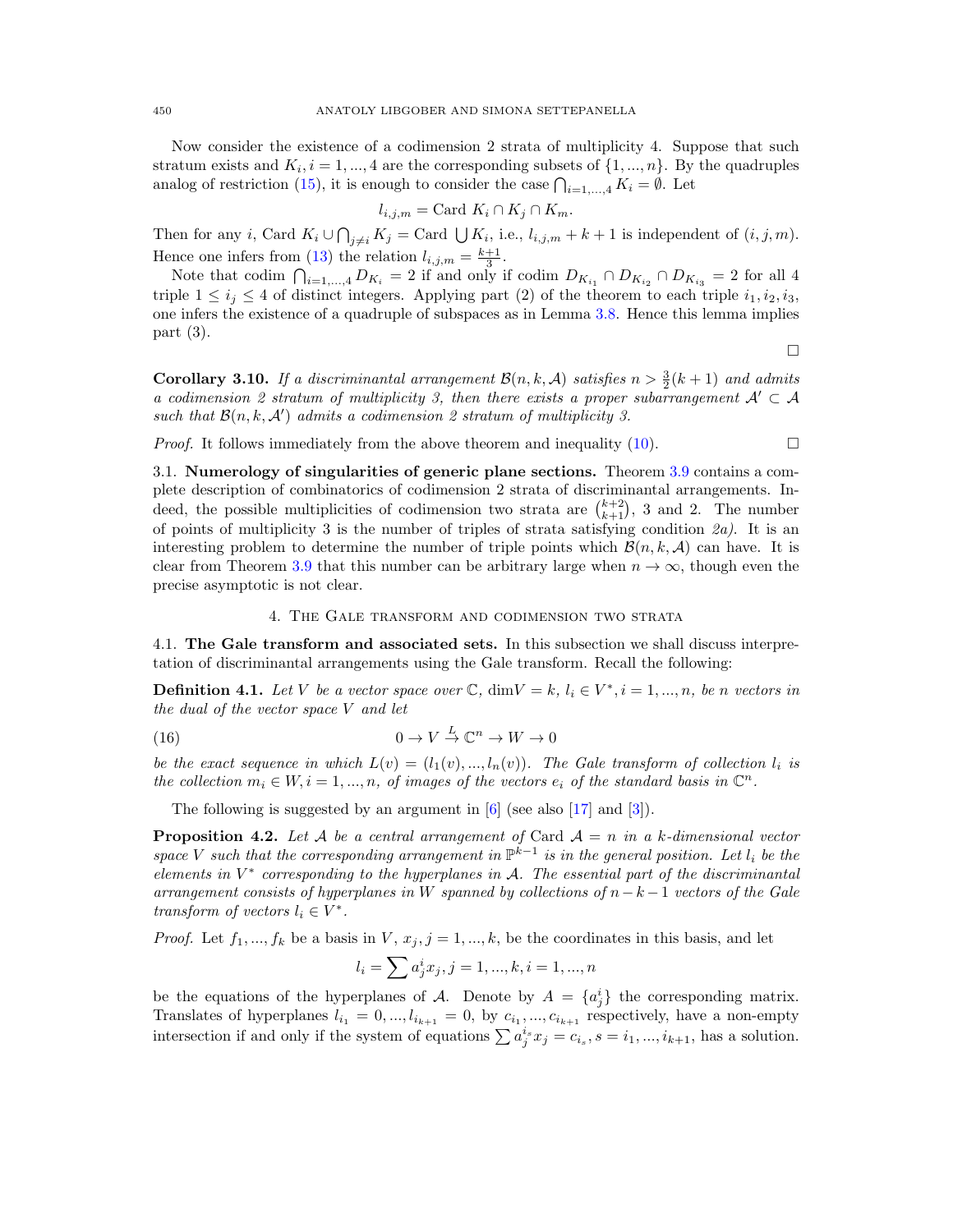Now consider the existence of a codimension 2 strata of multiplicity 4. Suppose that such stratum exists and  $K_i$ ,  $i = 1, ..., 4$  are the corresponding subsets of  $\{1, ..., n\}$ . By the quadruples analog of restriction (15), it is enough to consider the case  $\bigcap_{i=1,\ldots,4} K_i = \emptyset$ . Let

$$
l_{i,j,m} = \text{Card } K_i \cap K_j \cap K_m.
$$

Then for any *i*, Card  $K_i \cup \bigcap_{j \neq i} K_j = \text{Card } \bigcup K_i$ , i.e.,  $l_{i,j,m} + k + 1$  is independent of  $(i, j, m)$ . Hence one infers from (13) the relation  $l_{i,j,m} = \frac{k+1}{3}$ .

Note that codim  $\bigcap_{i=1,\dots,4} D_{K_i} = 2$  if and only if codim  $D_{K_{i_1}} \cap D_{K_{i_2}} \cap D_{K_{i_3}} = 2$  for all 4 triple  $1 \leq i_j \leq 4$  of distinct integers. Applying part (2) of the theorem to each triple  $i_1, i_2, i_3$ , one infers the existence of a quadruple of subspaces as in Lemma 3.8. Hence this lemma implies part (3).

 $\Box$ 

**Corollary 3.10.** *If a discriminantal arrangement*  $\mathcal{B}(n, k, \mathcal{A})$  *satisfies*  $n > \frac{3}{2}(k+1)$  *and admits a codimension 2 stratum of multiplicity 3, then there exists a proper subarrangement*  $A' \subset A$ *such that*  $B(n, k, A')$  *admits a codimension 2 stratum of multiplicity 3.* 

*Proof.* It follows immediately from the above theorem and inequality (10).  $\Box$ 

3.1. Numerology of singularities of generic plane sections. Theorem 3.9 contains a complete description of combinatorics of codimension 2 strata of discriminantal arrangements. Indeed, the possible multiplicities of codimension two strata are  $\binom{k+2}{k+1}$ , 3 and 2. The number of points of multiplicity 3 is the number of triples of strata satisfying condition *2a)*. It is an interesting problem to determine the number of triple points which  $\mathcal{B}(n, k, \mathcal{A})$  can have. It is clear from Theorem 3.9 that this number can be arbitrary large when  $n \to \infty$ , though even the precise asymptotic is not clear.

## 4. The Gale transform and codimension two strata

4.1. The Gale transform and associated sets. In this subsection we shall discuss interpretation of discriminantal arrangements using the Gale transform. Recall the following:

**Definition 4.1.** Let V be a vector space over  $\mathbb{C}$ , dim $V = k$ ,  $l_i \in V^*, i = 1, ..., n$ , be *n* vectors in *the dual of the vector space V and let*

(16) 
$$
0 \to V \stackrel{L}{\to} \mathbb{C}^n \to W \to 0
$$

*be the exact sequence in which*  $L(v) = (l_1(v), ..., l_n(v))$ *. The Gale transform of collection*  $l_i$  *is the collection*  $m_i \in W, i = 1, ..., n$ , of images of the vectors  $e_i$  of the standard basis in  $\mathbb{C}^n$ .

The following is suggested by an argument in  $[6]$  (see also [17] and [3]).

**Proposition 4.2.** Let A be a central arrangement of Card  $A = n$  in a *k*-dimensional vector *space V such that the corresponding arrangement in*  $\mathbb{P}^{k-1}$  *is in the general position. Let*  $l_i$  *be the elements in*  $V^*$  *corresponding to the hyperplanes in*  $A$ *. The essential part of the discriminantal arrangement consists of hyperplanes in W spanned by collections of*  $n - k - 1$  *vectors of the Gale transform of vectors*  $l_i \in V^*$ .

*Proof.* Let  $f_1, ..., f_k$  be a basis in *V*,  $x_j, j = 1, ..., k$ , be the coordinates in this basis, and let

$$
l_i = \sum a_j^i x_j, j = 1, ..., k, i = 1, ..., n
$$

be the equations of the hyperplanes of *A*. Denote by  $A = \{a_j^i\}$  the corresponding matrix. Translates of hyperplanes  $l_{i_1} = 0, ..., l_{i_{k+1}} = 0$ , by  $c_{i_1}, ..., c_{i_{k+1}}$  respectively, have a non-empty intersection if and only if the system of equations  $\sum a_j^{i_s} x_j = c_{i_s}$ ,  $s = i_1, ..., i_{k+1}$ , has a solution.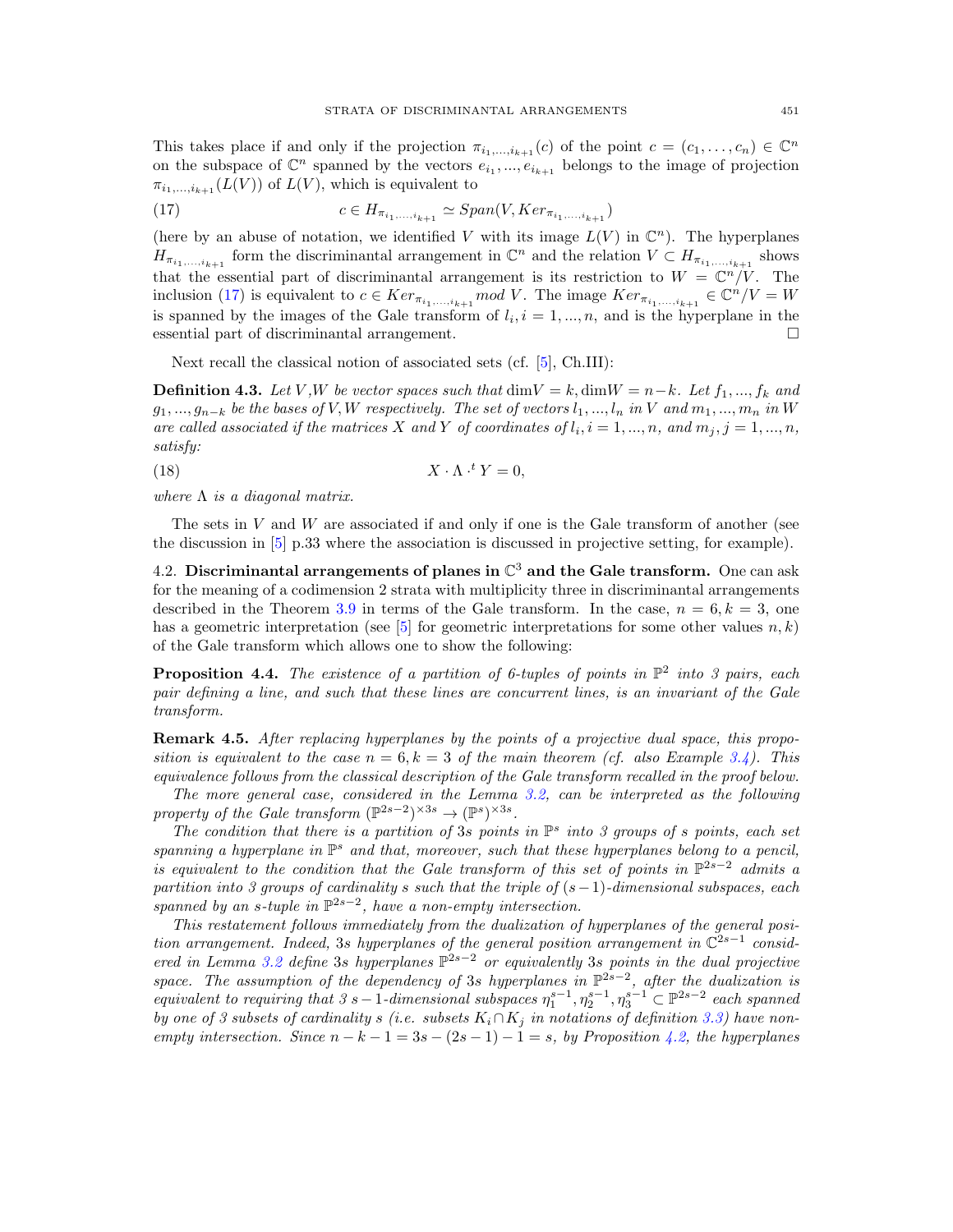This takes place if and only if the projection  $\pi_{i_1,\dots,i_{k+1}}(c)$  of the point  $c = (c_1,\dots,c_n) \in \mathbb{C}^n$ on the subspace of  $\mathbb{C}^n$  spanned by the vectors  $e_{i_1}, ..., e_{i_{k+1}}$  belongs to the image of projection  $\pi_{i_1,\ldots,i_{k+1}}(L(V))$  of  $L(V)$ , which is equivalent to

(17) 
$$
c \in H_{\pi_{i_1,\ldots,i_{k+1}}} \simeq Span(V, Ker_{\pi_{i_1,\ldots,i_{k+1}}})
$$

(here by an abuse of notation, we identified *V* with its image  $L(V)$  in  $\mathbb{C}^n$ ). The hyperplanes  $H_{\pi_{i_1,\dots,i_{k+1}}}$  form the discriminantal arrangement in  $\mathbb{C}^n$  and the relation  $V \subset H_{\pi_{i_1,\dots,i_{k+1}}}$  shows that the essential part of discriminantal arrangement is its restriction to  $W = \mathbb{C}^n / V$ . The inclusion (17) is equivalent to  $c \in Ker_{\pi_{i_1,\ldots,i_{k+1}}} mod V$ . The image  $Ker_{\pi_{i_1,\ldots,i_{k+1}}} \in \mathbb{C}^n/V = W$ is spanned by the images of the Gale transform of  $l_i$ ,  $i = 1, ..., n$ , and is the hyperplane in the essential part of discriminantal arrangement.  $\Box$ 

Next recall the classical notion of associated sets (cf. [5], Ch.III):

**Definition 4.3.** Let V,W be vector spaces such that  $\dim V = k$ ,  $\dim W = n - k$ . Let  $f_1, ..., f_k$  and  $g_1, ..., g_{n-k}$  be the bases of V, W respectively. The set of vectors  $l_1, ..., l_n$  in V and  $m_1, ..., m_n$  in W are called associated if the matrices X and Y of coordinates of  $l_i$ ,  $i = 1, ..., n$ , and  $m_j$ ,  $j = 1, ..., n$ , *satisfy:*

(18)  $X \cdot \Lambda$ .  $X \cdot \Lambda \cdot^t Y = 0$ 

*where*  $\Lambda$  *is a diagonal matrix.* 

The sets in *V* and *W* are associated if and only if one is the Gale transform of another (see the discussion in [5] p.33 where the association is discussed in projective setting, for example).

4.2. Discriminantal arrangements of planes in  $\mathbb{C}^3$  and the Gale transform. One can ask for the meaning of a codimension 2 strata with multiplicity three in discriminantal arrangements described in the Theorem 3.9 in terms of the Gale transform. In the case,  $n = 6, k = 3$ , one has a geometric interpretation (see  $[5]$  for geometric interpretations for some other values  $n, k$ ) of the Gale transform which allows one to show the following:

**Proposition 4.4.** *The existence of a partition of 6-tuples of points in*  $\mathbb{P}^2$  *into 3 pairs, each pair defining a line, and such that these lines are concurrent lines, is an invariant of the Gale transform.*

Remark 4.5. *After replacing hyperplanes by the points of a projective dual space, this proposition is equivalent to the case*  $n = 6, k = 3$  *of the main theorem (cf. also Example 3.4). This equivalence follows from the classical description of the Gale transform recalled in the proof below.*

*The more general case, considered in the Lemma 3.2, can be interpreted as the following property of the Gale transform*  $(\mathbb{P}^{2s-2})^{\times 3s} \to (\mathbb{P}^{s})^{\times 3s}$ *.* 

*The condition that there is a partition of* 3*s points in* P*<sup>s</sup> into 3 groups of s points, each set* spanning a hyperplane in  $\mathbb{P}^s$  and that, moreover, such that these hyperplanes belong to a pencil, *is equivalent to the condition that the Gale transform of this set of points in*  $\mathbb{P}^{2s-2}$  *admits a partition into 3 groups of cardinality s such that the triple of*  $(s-1)$ *-dimensional subspaces, each spanned by an s-tuple in*  $\mathbb{P}^{2s-2}$ , *have a non-empty intersection.* 

*This restatement follows immediately from the dualization of hyperplanes of the general position arrangement. Indeed,* 3*s hyperplanes of the general position arrangement in*  $\mathbb{C}^{2s-1}$  *considered in Lemma 3.2 define* 3*s hyperplanes*  $\mathbb{P}^{2s-2}$  *or equivalently* 3*s points in the dual projective space. The assumption of the dependency of* 3*s hyperplanes in*  $\mathbb{P}^{2s-2}$ , *after the dualization is equivalent to requiring that 3 s* - 1-dimensional subspaces  $\eta_1^{s-1}, \eta_2^{s-1}, \eta_3^{s-1} \subset \mathbb{P}^{2s-2}$  each spanned *by one of 3 subsets of cardinality s* (*i.e. subsets*  $K_i \cap K_j$  *in notations of definition* 3.3) have non*empty intersection. Since*  $n - k - 1 = 3s - (2s - 1) - 1 = s$ , by Proposition 4.2, the hyperplanes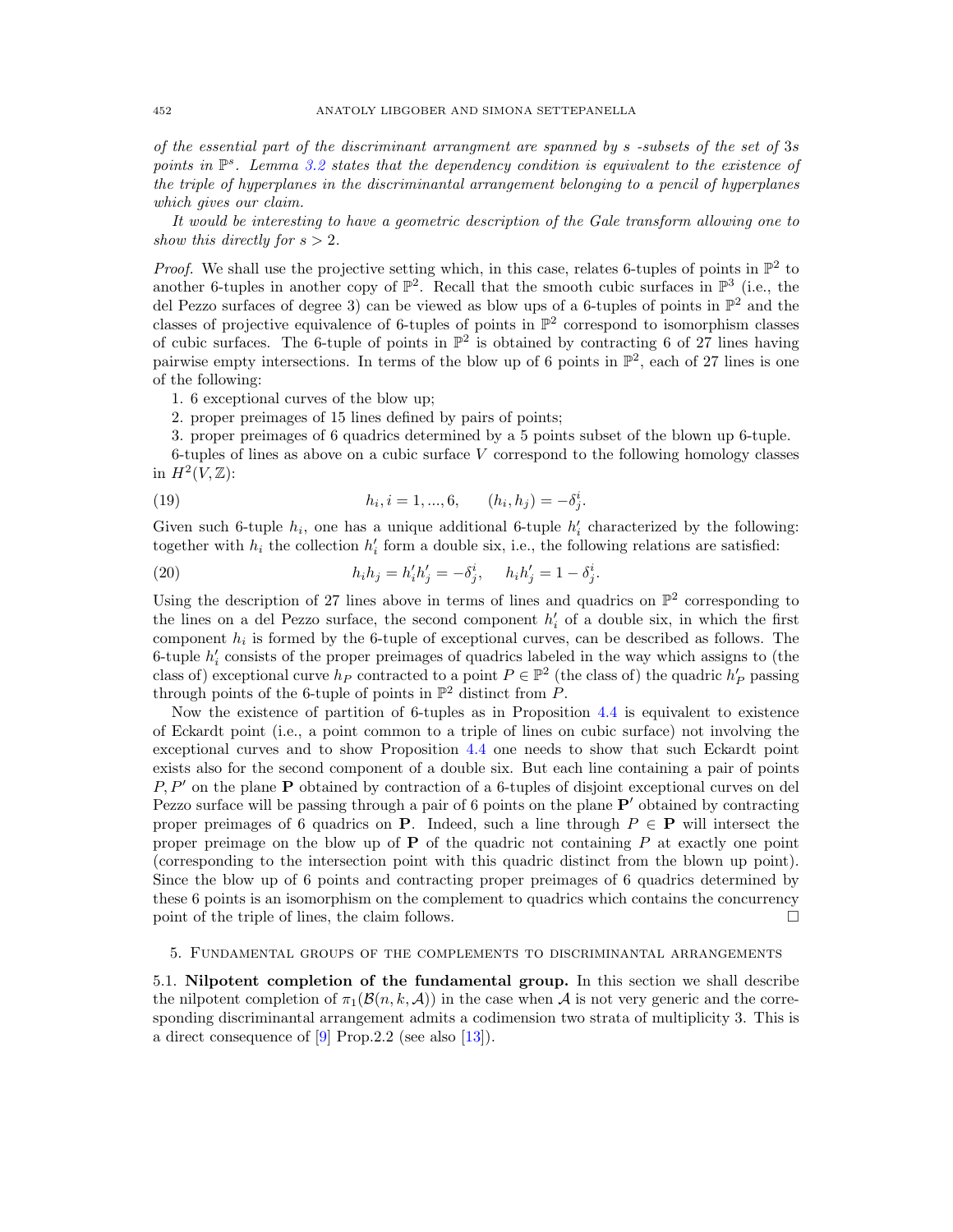*of the essential part of the discriminant arrangment are spanned by s -subsets of the set of* 3*s points in* P*s. Lemma 3.2 states that the dependency condition is equivalent to the existence of the triple of hyperplanes in the discriminantal arrangement belonging to a pencil of hyperplanes which gives our claim.*

*It would be interesting to have a geometric description of the Gale transform allowing one to show this directly for*  $s > 2$ *.* 

*Proof.* We shall use the projective setting which, in this case, relates 6-tuples of points in  $\mathbb{P}^2$  to another 6-tuples in another copy of  $\mathbb{P}^2$ . Recall that the smooth cubic surfaces in  $\mathbb{P}^3$  (i.e., the del Pezzo surfaces of degree 3) can be viewed as blow ups of a 6-tuples of points in  $\mathbb{P}^2$  and the classes of projective equivalence of 6-tuples of points in  $\mathbb{P}^2$  correspond to isomorphism classes of cubic surfaces. The 6-tuple of points in  $\mathbb{P}^2$  is obtained by contracting 6 of 27 lines having pairwise empty intersections. In terms of the blow up of 6 points in  $\mathbb{P}^2$ , each of 27 lines is one of the following:

1. 6 exceptional curves of the blow up;

2. proper preimages of 15 lines defined by pairs of points;

3. proper preimages of 6 quadrics determined by a 5 points subset of the blown up 6-tuple.

6-tuples of lines as above on a cubic surface *V* correspond to the following homology classes in  $H^2(V,\mathbb{Z})$ :

(19) 
$$
h_i, i = 1, ..., 6, \qquad (h_i, h_j) = -\delta_j^i.
$$

Given such 6-tuple  $h_i$ , one has a unique additional 6-tuple  $h'_i$  characterized by the following: together with  $h_i$  the collection  $h'_i$  form a double six, i.e., the following relations are satisfied:

(20) 
$$
h_i h_j = h'_i h'_j = -\delta^i_j, \quad h_i h'_j = 1 - \delta^i_j.
$$

Using the description of 27 lines above in terms of lines and quadrics on  $\mathbb{P}^2$  corresponding to the lines on a del Pezzo surface, the second component  $h'_{i}$  of a double six, in which the first component *h<sup>i</sup>* is formed by the 6-tuple of exceptional curves, can be described as follows. The 6-tuple  $h_i'$  consists of the proper preimages of quadrics labeled in the way which assigns to (the class of) exceptional curve  $h_P$  contracted to a point  $P \in \mathbb{P}^2$  (the class of) the quadric  $h'_P$  passing through points of the 6-tuple of points in  $\mathbb{P}^2$  distinct from *P*.

Now the existence of partition of 6-tuples as in Proposition 4.4 is equivalent to existence of Eckardt point (i.e., a point common to a triple of lines on cubic surface) not involving the exceptional curves and to show Proposition 4.4 one needs to show that such Eckardt point exists also for the second component of a double six. But each line containing a pair of points *P, P'* on the plane **P** obtained by contraction of a 6-tuples of disjoint exceptional curves on del Pezzo surface will be passing through a pair of 6 points on the plane  $P'$  obtained by contracting proper preimages of 6 quadrics on **P**. Indeed, such a line through  $P \in \mathbf{P}$  will intersect the proper preimage on the blow up of P of the quadric not containing *P* at exactly one point (corresponding to the intersection point with this quadric distinct from the blown up point). Since the blow up of 6 points and contracting proper preimages of 6 quadrics determined by these 6 points is an isomorphism on the complement to quadrics which contains the concurrency point of the triple of lines, the claim follows.  $\Box$ 

#### 5. Fundamental groups of the complements to discriminantal arrangements

5.1. Nilpotent completion of the fundamental group. In this section we shall describe the nilpotent completion of  $\pi_1(\mathcal{B}(n, k, \mathcal{A}))$  in the case when A is not very generic and the corresponding discriminantal arrangement admits a codimension two strata of multiplicity 3. This is a direct consequence of [9] Prop.2.2 (see also [13]).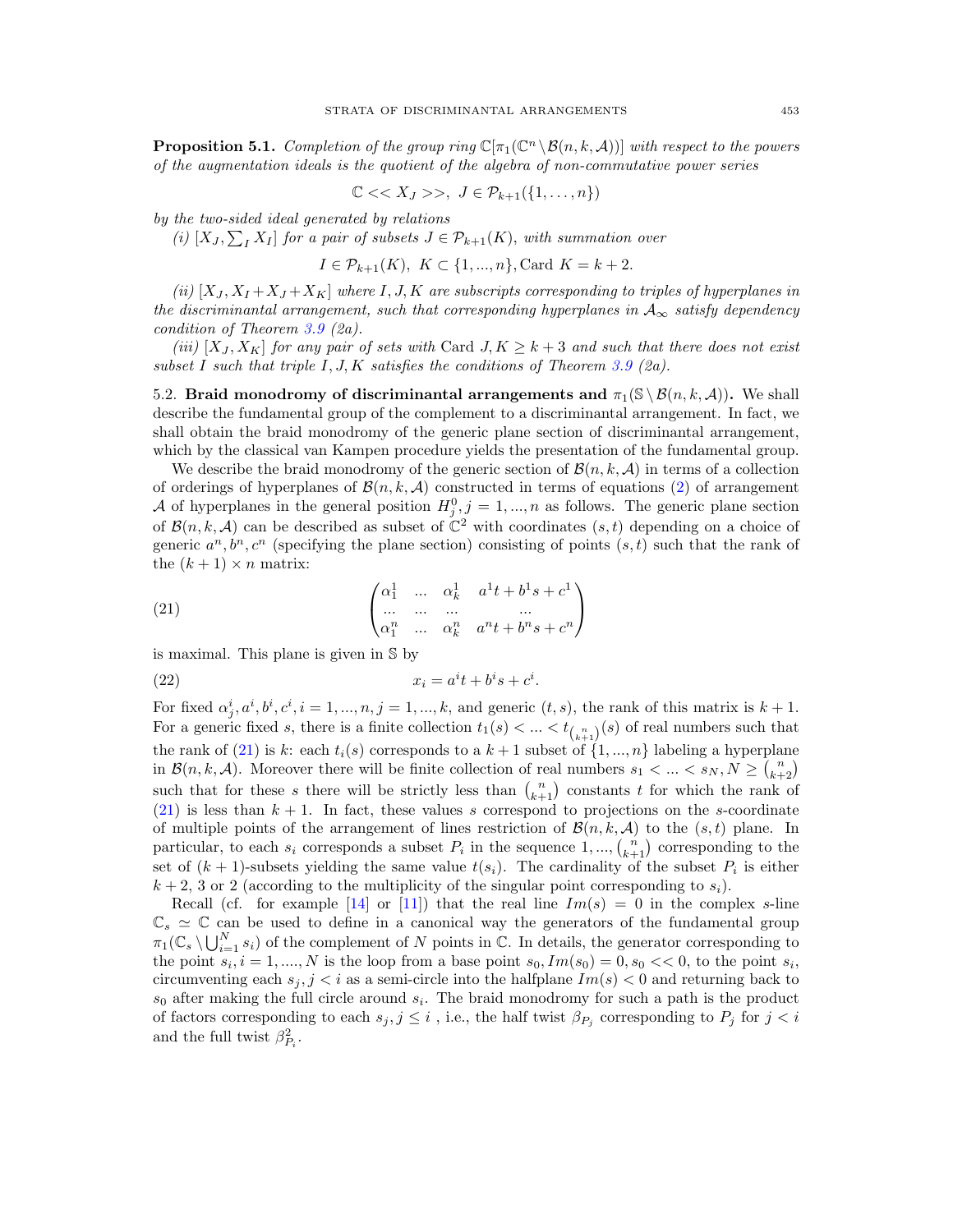**Proposition 5.1.** *Completion of the group ring*  $\mathbb{C}[\pi_1(\mathbb{C}^n \setminus \mathcal{B}(n, k, \mathcal{A}))]$  *with respect to the powers of the augmentation ideals is the quotient of the algebra of non-commutative power series*

$$
\mathbb{C}\ll X_J>>,\ J\in\mathcal{P}_{k+1}(\{1,\ldots,n\})
$$

*by the two-sided ideal generated by relations*

(*i*)  $[X_J, \sum_I X_I]$  *for a pair of subsets*  $J \in \mathcal{P}_{k+1}(K)$ *, with summation over* 

$$
I \in \mathcal{P}_{k+1}(K), K \subset \{1, ..., n\}, \text{Card } K = k+2.
$$

*(ii)*  $[X_J, X_I + X_J + X_K]$  *where I, J, K are subscripts corresponding to triples of hyperplanes in the discriminantal arrangement, such that corresponding hyperplanes in*  $A_{\infty}$  *satisfy dependency condition of Theorem 3.9 (2a).*

*(iii)*  $[X_J, X_K]$  *for any pair of sets with* Card  $J, K \geq k+3$  *and such that there does not exist subset I such that triple I, J, K satisfies the conditions of Theorem 3.9 (2a).*

5.2. Braid monodromy of discriminantal arrangements and  $\pi_1(\mathcal{S} \setminus \mathcal{B}(n, k, \mathcal{A}))$ . We shall describe the fundamental group of the complement to a discriminantal arrangement. In fact, we shall obtain the braid monodromy of the generic plane section of discriminantal arrangement, which by the classical van Kampen procedure yields the presentation of the fundamental group.

We describe the braid monodromy of the generic section of  $\mathcal{B}(n, k, \mathcal{A})$  in terms of a collection of orderings of hyperplanes of  $\mathcal{B}(n, k, \mathcal{A})$  constructed in terms of equations (2) of arrangement *A* of hyperplanes in the general position  $H_j^0, j = 1, ..., n$  as follows. The generic plane section of  $\mathcal{B}(n, k, \mathcal{A})$  can be described as subset of  $\mathbb{C}^2$  with coordinates  $(s, t)$  depending on a choice of generic  $a^n, b^n, c^n$  (specifying the plane section) consisting of points  $(s, t)$  such that the rank of the  $(k + 1) \times n$  matrix:

(21) 
$$
\begin{pmatrix} \alpha_1^1 & \dots & \alpha_k^1 & a^1t + b^1s + c^1 \\ \dots & \dots & \dots & \dots \\ \alpha_1^n & \dots & \alpha_k^n & a^nt + b^ns + c^n \end{pmatrix}
$$

is maximal. This plane is given in S by

$$
(22) \t\t x_i = a^i t + b^i s + c^i.
$$

For fixed  $\alpha_j^i, a^i, b^i, c^i, i = 1, ..., n, j = 1, ..., k$ , and generic  $(t, s)$ , the rank of this matrix is  $k + 1$ . For a generic fixed *s*, there is a finite collection  $t_1(s) < ... < t_{\binom{n}{k+1}}(s)$  of real numbers such that the rank of (21) is *k*: each  $t_i(s)$  corresponds to a  $k+1$  subset of  $\{1, ..., n\}$  labeling a hyperplane in  $\mathcal{B}(n, k, \mathcal{A})$ . Moreover there will be finite collection of real numbers  $s_1 < \ldots < s_N, N \geq {n \choose k+2}$ such that for these *s* there will be strictly less than  $\binom{n}{k+1}$  constants *t* for which the rank of  $(21)$  is less than  $k + 1$ . In fact, these values *s* correspond to projections on the *s*-coordinate of multiple points of the arrangement of lines restriction of  $\mathcal{B}(n, k, \mathcal{A})$  to the  $(s, t)$  plane. In particular, to each  $s_i$  corresponds a subset  $P_i$  in the sequence  $1, ..., {n \choose k+1}$  corresponding to the set of  $(k + 1)$ -subsets yielding the same value  $t(s_i)$ . The cardinality of the subset  $P_i$  is either  $k + 2$ , 3 or 2 (according to the multiplicity of the singular point corresponding to  $s_i$ ).

Recall (cf. for example [14] or [11]) that the real line  $Im(s) = 0$  in the complex *s*-line  $\mathbb{C}_s \simeq \mathbb{C}$  can be used to define in a canonical way the generators of the fundamental group  $\pi_1(\mathbb{C}_s \setminus \bigcup_{i=1}^N s_i)$  of the complement of *N* points in  $\mathbb{C}$ . In details, the generator corresponding to the point  $s_i$ ,  $i = 1, \ldots, N$  is the loop from a base point  $s_0$ ,  $Im(s_0) = 0$ ,  $s_0 \ll 0$ , to the point  $s_i$ , circumventing each  $s_j$ ,  $j < i$  as a semi-circle into the halfplane  $Im(s) < 0$  and returning back to *s*<sup>0</sup> after making the full circle around *si*. The braid monodromy for such a path is the product of factors corresponding to each  $s_j, j \leq i$ , i.e., the half twist  $\beta_{P_j}$  corresponding to  $P_j$  for  $j < i$ and the full twist  $\beta_{P_i}^2$ .